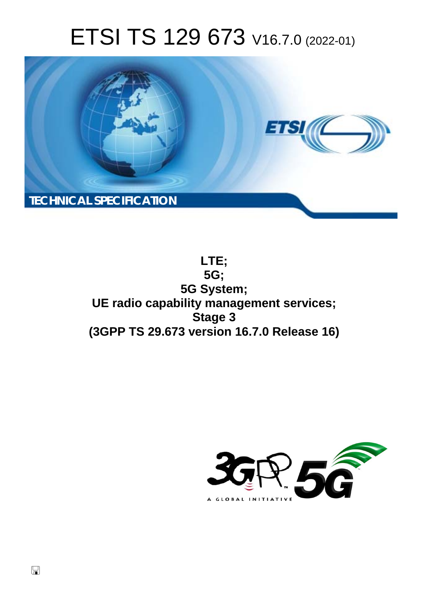# ETSI TS 129 673 V16.7.0 (2022-01)



**LTE; 5G; 5G System; UE radio capability management services; Stage 3 (3GPP TS 29.673 version 16.7.0 Release 16)** 

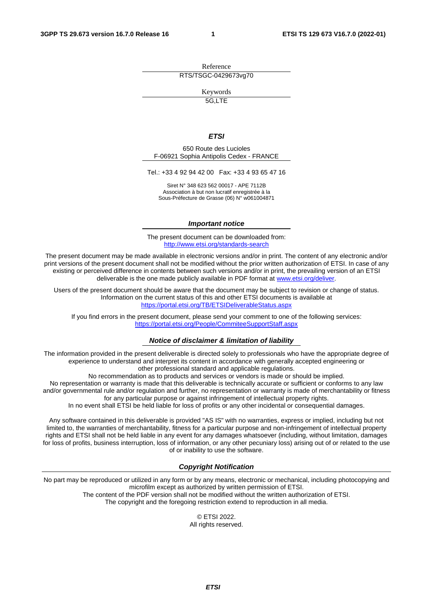Reference RTS/TSGC-0429673vg70

Keywords

 $5G$  LTF

#### *ETSI*

650 Route des Lucioles F-06921 Sophia Antipolis Cedex - FRANCE

Tel.: +33 4 92 94 42 00 Fax: +33 4 93 65 47 16

Siret N° 348 623 562 00017 - APE 7112B Association à but non lucratif enregistrée à la Sous-Préfecture de Grasse (06) N° w061004871

#### *Important notice*

The present document can be downloaded from: <http://www.etsi.org/standards-search>

The present document may be made available in electronic versions and/or in print. The content of any electronic and/or print versions of the present document shall not be modified without the prior written authorization of ETSI. In case of any existing or perceived difference in contents between such versions and/or in print, the prevailing version of an ETSI deliverable is the one made publicly available in PDF format at [www.etsi.org/deliver](http://www.etsi.org/deliver).

Users of the present document should be aware that the document may be subject to revision or change of status. Information on the current status of this and other ETSI documents is available at <https://portal.etsi.org/TB/ETSIDeliverableStatus.aspx>

If you find errors in the present document, please send your comment to one of the following services: <https://portal.etsi.org/People/CommiteeSupportStaff.aspx>

#### *Notice of disclaimer & limitation of liability*

The information provided in the present deliverable is directed solely to professionals who have the appropriate degree of experience to understand and interpret its content in accordance with generally accepted engineering or other professional standard and applicable regulations.

No recommendation as to products and services or vendors is made or should be implied.

No representation or warranty is made that this deliverable is technically accurate or sufficient or conforms to any law and/or governmental rule and/or regulation and further, no representation or warranty is made of merchantability or fitness for any particular purpose or against infringement of intellectual property rights.

In no event shall ETSI be held liable for loss of profits or any other incidental or consequential damages.

Any software contained in this deliverable is provided "AS IS" with no warranties, express or implied, including but not limited to, the warranties of merchantability, fitness for a particular purpose and non-infringement of intellectual property rights and ETSI shall not be held liable in any event for any damages whatsoever (including, without limitation, damages for loss of profits, business interruption, loss of information, or any other pecuniary loss) arising out of or related to the use of or inability to use the software.

#### *Copyright Notification*

No part may be reproduced or utilized in any form or by any means, electronic or mechanical, including photocopying and microfilm except as authorized by written permission of ETSI. The content of the PDF version shall not be modified without the written authorization of ETSI.

The copyright and the foregoing restriction extend to reproduction in all media.

© ETSI 2022. All rights reserved.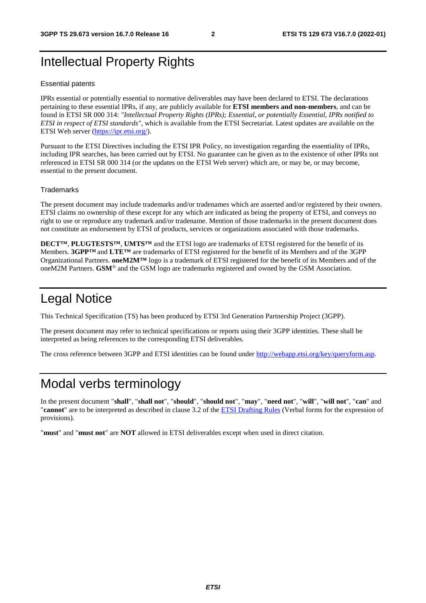## Intellectual Property Rights

#### Essential patents

IPRs essential or potentially essential to normative deliverables may have been declared to ETSI. The declarations pertaining to these essential IPRs, if any, are publicly available for **ETSI members and non-members**, and can be found in ETSI SR 000 314: *"Intellectual Property Rights (IPRs); Essential, or potentially Essential, IPRs notified to ETSI in respect of ETSI standards"*, which is available from the ETSI Secretariat. Latest updates are available on the ETSI Web server ([https://ipr.etsi.org/\)](https://ipr.etsi.org/).

Pursuant to the ETSI Directives including the ETSI IPR Policy, no investigation regarding the essentiality of IPRs, including IPR searches, has been carried out by ETSI. No guarantee can be given as to the existence of other IPRs not referenced in ETSI SR 000 314 (or the updates on the ETSI Web server) which are, or may be, or may become, essential to the present document.

#### **Trademarks**

The present document may include trademarks and/or tradenames which are asserted and/or registered by their owners. ETSI claims no ownership of these except for any which are indicated as being the property of ETSI, and conveys no right to use or reproduce any trademark and/or tradename. Mention of those trademarks in the present document does not constitute an endorsement by ETSI of products, services or organizations associated with those trademarks.

**DECT™**, **PLUGTESTS™**, **UMTS™** and the ETSI logo are trademarks of ETSI registered for the benefit of its Members. **3GPP™** and **LTE™** are trademarks of ETSI registered for the benefit of its Members and of the 3GPP Organizational Partners. **oneM2M™** logo is a trademark of ETSI registered for the benefit of its Members and of the oneM2M Partners. **GSM**® and the GSM logo are trademarks registered and owned by the GSM Association.

## Legal Notice

This Technical Specification (TS) has been produced by ETSI 3rd Generation Partnership Project (3GPP).

The present document may refer to technical specifications or reports using their 3GPP identities. These shall be interpreted as being references to the corresponding ETSI deliverables.

The cross reference between 3GPP and ETSI identities can be found under<http://webapp.etsi.org/key/queryform.asp>.

## Modal verbs terminology

In the present document "**shall**", "**shall not**", "**should**", "**should not**", "**may**", "**need not**", "**will**", "**will not**", "**can**" and "**cannot**" are to be interpreted as described in clause 3.2 of the [ETSI Drafting Rules](https://portal.etsi.org/Services/editHelp!/Howtostart/ETSIDraftingRules.aspx) (Verbal forms for the expression of provisions).

"**must**" and "**must not**" are **NOT** allowed in ETSI deliverables except when used in direct citation.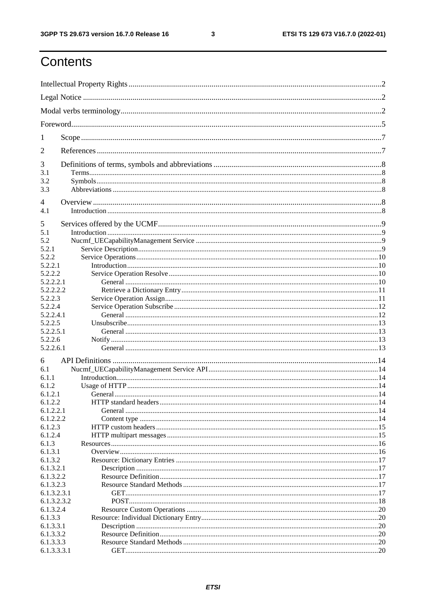$\mathbf{3}$ 

## Contents

| 1                |  |  |  |
|------------------|--|--|--|
| 2                |  |  |  |
| 3                |  |  |  |
| 3.1<br>3.2       |  |  |  |
| 3.3              |  |  |  |
| 4                |  |  |  |
| 4.1              |  |  |  |
| 5                |  |  |  |
| 5.1              |  |  |  |
| 5.2              |  |  |  |
| 5.2.1            |  |  |  |
| 5.2.2<br>5.2.2.1 |  |  |  |
| 5.2.2.2          |  |  |  |
| 5.2.2.2.1        |  |  |  |
| 5.2.2.2.2        |  |  |  |
| 5.2.2.3          |  |  |  |
| 5.2.2.4          |  |  |  |
| 5.2.2.4.1        |  |  |  |
| 5.2.2.5          |  |  |  |
| 5.2.2.5.1        |  |  |  |
| 5.2.2.6          |  |  |  |
| 5.2.2.6.1        |  |  |  |
| 6                |  |  |  |
| 6.1              |  |  |  |
| 6.1.1            |  |  |  |
| 6.1.2            |  |  |  |
| 6.1.2.1          |  |  |  |
| 6.1.2.2          |  |  |  |
| 6.1.2.2.1        |  |  |  |
| 6.1.2.2.2        |  |  |  |
| 6.1.2.3          |  |  |  |
| 6.1.2.4<br>6.1.3 |  |  |  |
| 6.1.3.1          |  |  |  |
| 6.1.3.2          |  |  |  |
| 6.1.3.2.1        |  |  |  |
| 6.1.3.2.2        |  |  |  |
| 6.1.3.2.3        |  |  |  |
| 6.1.3.2.3.1      |  |  |  |
| 6.1.3.2.3.2      |  |  |  |
| 6.1.3.2.4        |  |  |  |
| 6.1.3.3          |  |  |  |
| 6.1.3.3.1        |  |  |  |
| 6.1.3.3.2        |  |  |  |
| 6.1.3.3.3        |  |  |  |
| 6.1.3.3.3.1      |  |  |  |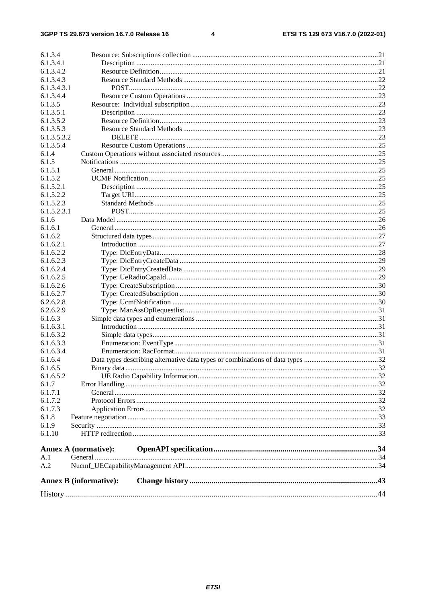#### $\overline{\mathbf{4}}$

| 6.1.3.4     |                               |    |  |
|-------------|-------------------------------|----|--|
| 6.1.3.4.1   |                               |    |  |
| 6.1.3.4.2   |                               |    |  |
| 6.1.3.4.3   |                               |    |  |
| 6.1.3.4.3.1 |                               |    |  |
| 6.1.3.4.4   |                               |    |  |
| 6.1.3.5     |                               |    |  |
| 6.1.3.5.1   |                               |    |  |
| 6.1.3.5.2   |                               |    |  |
| 6.1.3.5.3   |                               |    |  |
| 6.1.3.5.3.2 |                               |    |  |
|             |                               |    |  |
| 6.1.3.5.4   |                               |    |  |
| 6.1.4       |                               |    |  |
| 6.1.5       |                               |    |  |
| 6.1.5.1     |                               |    |  |
| 6.1.5.2     |                               |    |  |
| 6.1.5.2.1   |                               |    |  |
| 6.1.5.2.2   |                               |    |  |
| 6.1.5.2.3   |                               |    |  |
| 6.1.5.2.3.1 |                               |    |  |
| 6.1.6       |                               |    |  |
| 6.1.6.1     |                               |    |  |
| 6.1.6.2     |                               |    |  |
| 6.1.6.2.1   |                               |    |  |
| 6.1.6.2.2   |                               |    |  |
| 6.1.6.2.3   |                               |    |  |
| 6.1.6.2.4   |                               |    |  |
| 6.1.6.2.5   |                               |    |  |
| 6.1.6.2.6   |                               |    |  |
| 6.1.6.2.7   |                               |    |  |
| 6.2.6.2.8   |                               |    |  |
| 6.2.6.2.9   |                               |    |  |
| 6.1.6.3     |                               |    |  |
| 6.1.6.3.1   |                               |    |  |
| 6.1.6.3.2   |                               |    |  |
| 6.1.6.3.3   |                               |    |  |
| 6.1.6.3.4   |                               |    |  |
| 6.1.6.4     |                               |    |  |
| 6.1.6.5     |                               | 32 |  |
| 6.1.6.5.2   |                               |    |  |
| 6.1.7       |                               |    |  |
| 6.1.7.1     |                               |    |  |
| 6.1.7.2     |                               |    |  |
| 6.1.7.3     |                               |    |  |
| 6.1.8       |                               |    |  |
| 6.1.9       |                               |    |  |
| 6.1.10      |                               |    |  |
|             |                               |    |  |
|             | Annex A (normative):          |    |  |
| A.1         |                               |    |  |
| A.2         |                               |    |  |
|             |                               |    |  |
|             | <b>Annex B</b> (informative): |    |  |
|             |                               |    |  |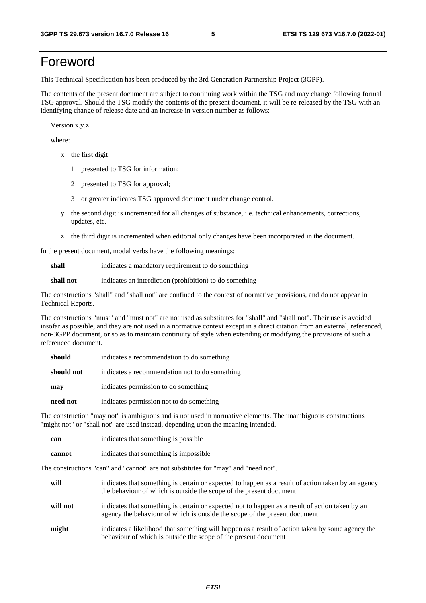## Foreword

This Technical Specification has been produced by the 3rd Generation Partnership Project (3GPP).

The contents of the present document are subject to continuing work within the TSG and may change following formal TSG approval. Should the TSG modify the contents of the present document, it will be re-released by the TSG with an identifying change of release date and an increase in version number as follows:

Version x.y.z

where:

- x the first digit:
	- 1 presented to TSG for information;
	- 2 presented to TSG for approval;
	- 3 or greater indicates TSG approved document under change control.
- y the second digit is incremented for all changes of substance, i.e. technical enhancements, corrections, updates, etc.
- z the third digit is incremented when editorial only changes have been incorporated in the document.

In the present document, modal verbs have the following meanings:

**shall** indicates a mandatory requirement to do something

**shall not** indicates an interdiction (prohibition) to do something

The constructions "shall" and "shall not" are confined to the context of normative provisions, and do not appear in Technical Reports.

The constructions "must" and "must not" are not used as substitutes for "shall" and "shall not". Their use is avoided insofar as possible, and they are not used in a normative context except in a direct citation from an external, referenced, non-3GPP document, or so as to maintain continuity of style when extending or modifying the provisions of such a referenced document.

| should     | indicates a recommendation to do something     |
|------------|------------------------------------------------|
| should not | indicates a recommendation not to do something |
| may        | indicates permission to do something           |
| need not   | indicates permission not to do something       |

The construction "may not" is ambiguous and is not used in normative elements. The unambiguous constructions "might not" or "shall not" are used instead, depending upon the meaning intended.

| can    | indicates that something is possible   |
|--------|----------------------------------------|
| cannot | indicates that something is impossible |

The constructions "can" and "cannot" are not substitutes for "may" and "need not".

| will     | indicates that something is certain or expected to happen as a result of action taken by an agency<br>the behaviour of which is outside the scope of the present document     |
|----------|-------------------------------------------------------------------------------------------------------------------------------------------------------------------------------|
| will not | indicates that something is certain or expected not to happen as a result of action taken by an<br>agency the behaviour of which is outside the scope of the present document |
| might    | indicates a likelihood that something will happen as a result of action taken by some agency the<br>behaviour of which is outside the scope of the present document           |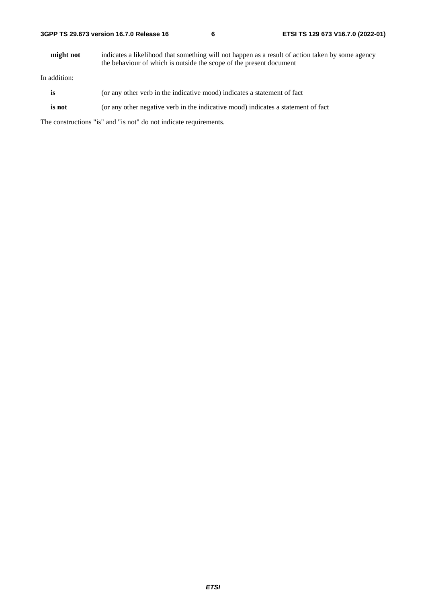**might not** indicates a likelihood that something will not happen as a result of action taken by some agency the behaviour of which is outside the scope of the present document

In addition:

- **is** (or any other verb in the indicative mood) indicates a statement of fact
- **is not** (or any other negative verb in the indicative mood) indicates a statement of fact

The constructions "is" and "is not" do not indicate requirements.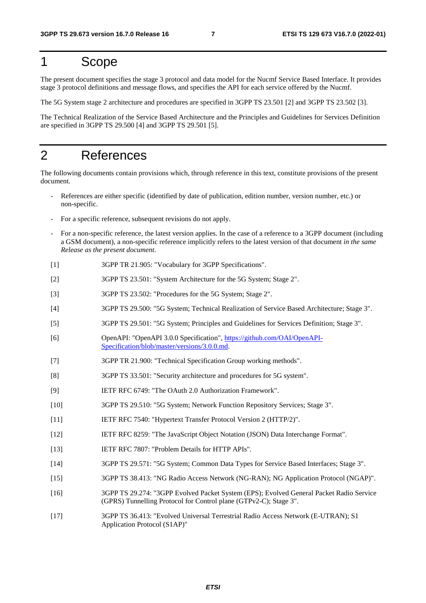## 1 Scope

The present document specifies the stage 3 protocol and data model for the Nucmf Service Based Interface. It provides stage 3 protocol definitions and message flows, and specifies the API for each service offered by the Nucmf.

The 5G System stage 2 architecture and procedures are specified in 3GPP TS 23.501 [2] and 3GPP TS 23.502 [3].

The Technical Realization of the Service Based Architecture and the Principles and Guidelines for Services Definition are specified in 3GPP TS 29.500 [4] and 3GPP TS 29.501 [5].

## 2 References

The following documents contain provisions which, through reference in this text, constitute provisions of the present document.

- References are either specific (identified by date of publication, edition number, version number, etc.) or non-specific.
- For a specific reference, subsequent revisions do not apply.
- For a non-specific reference, the latest version applies. In the case of a reference to a 3GPP document (including a GSM document), a non-specific reference implicitly refers to the latest version of that document *in the same Release as the present document*.
- [1] 3GPP TR 21.905: "Vocabulary for 3GPP Specifications".
- [2] 3GPP TS 23.501: "System Architecture for the 5G System; Stage 2".
- [3] 3GPP TS 23.502: "Procedures for the 5G System; Stage 2".
- [4] 3GPP TS 29.500: "5G System; Technical Realization of Service Based Architecture; Stage 3".
- [5] 3GPP TS 29.501: "5G System; Principles and Guidelines for Services Definition; Stage 3".
- [6] OpenAPI: "OpenAPI 3.0.0 Specification", [https://github.com/OAI/OpenAPI](https://github.com/OAI/OpenAPI-Specification/blob/master/versions/3.0.0.md)-[Specification/blob/master/versions/3.0.0.md](https://github.com/OAI/OpenAPI-Specification/blob/master/versions/3.0.0.md).
- [7] 3GPP TR 21.900: "Technical Specification Group working methods".
- [8] 3GPP TS 33.501: "Security architecture and procedures for 5G system".
- [9] IETF RFC 6749: "The OAuth 2.0 Authorization Framework".
- [10] 3GPP TS 29.510: "5G System; Network Function Repository Services; Stage 3".
- [11] IETF RFC 7540: "Hypertext Transfer Protocol Version 2 (HTTP/2)".
- [12] IETF RFC 8259: "The JavaScript Object Notation (JSON) Data Interchange Format".
- [13] IETF RFC 7807: "Problem Details for HTTP APIs".
- [14] 3GPP TS 29.571: "5G System; Common Data Types for Service Based Interfaces; Stage 3".
- [15] 3GPP TS 38.413: "NG Radio Access Network (NG-RAN); NG Application Protocol (NGAP)".
- [16] 3GPP TS 29.274: "3GPP Evolved Packet System (EPS); Evolved General Packet Radio Service (GPRS) Tunnelling Protocol for Control plane (GTPv2-C); Stage 3".
- [17] 3GPP TS 36.413: "Evolved Universal Terrestrial Radio Access Network (E-UTRAN); S1 Application Protocol (S1AP)"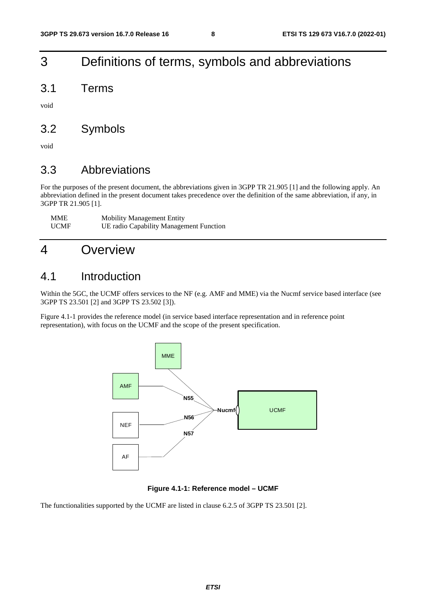## 3 Definitions of terms, symbols and abbreviations

3.1 Terms

void

## 3.2 Symbols

void

## 3.3 Abbreviations

For the purposes of the present document, the abbreviations given in 3GPP TR 21.905 [1] and the following apply. An abbreviation defined in the present document takes precedence over the definition of the same abbreviation, if any, in 3GPP TR 21.905 [1].

| <b>MME</b>  | <b>Mobility Management Entity</b>       |
|-------------|-----------------------------------------|
| <b>UCMF</b> | UE radio Capability Management Function |

## 4 Overview

### 4.1 Introduction

Within the 5GC, the UCMF offers services to the NF (e.g. AMF and MME) via the Nucmf service based interface (see 3GPP TS 23.501 [2] and 3GPP TS 23.502 [3]).

Figure 4.1-1 provides the reference model (in service based interface representation and in reference point representation), with focus on the UCMF and the scope of the present specification.



#### **Figure 4.1-1: Reference model – UCMF**

The functionalities supported by the UCMF are listed in clause 6.2.5 of 3GPP TS 23.501 [2].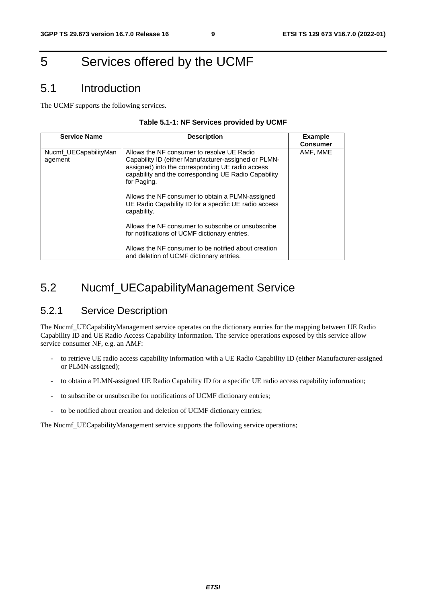## 5 Services offered by the UCMF

## 5.1 Introduction

The UCMF supports the following services.

#### **Table 5.1-1: NF Services provided by UCMF**

| <b>Service Name</b>              | <b>Description</b>                                                                                                                                                                                                            | <b>Example</b><br><b>Consumer</b> |
|----------------------------------|-------------------------------------------------------------------------------------------------------------------------------------------------------------------------------------------------------------------------------|-----------------------------------|
| Nucmf_UECapabilityMan<br>agement | Allows the NF consumer to resolve UE Radio<br>Capability ID (either Manufacturer-assigned or PLMN-<br>assigned) into the corresponding UE radio access<br>capability and the corresponding UE Radio Capability<br>for Paging. | AMF, MME                          |
|                                  | Allows the NF consumer to obtain a PLMN-assigned<br>UE Radio Capability ID for a specific UE radio access<br>capability.                                                                                                      |                                   |
|                                  | Allows the NF consumer to subscribe or unsubscribe<br>for notifications of UCMF dictionary entries.                                                                                                                           |                                   |
|                                  | Allows the NF consumer to be notified about creation<br>and deletion of UCMF dictionary entries.                                                                                                                              |                                   |

## 5.2 Nucmf\_UECapabilityManagement Service

### 5.2.1 Service Description

The Nucmf\_UECapabilityManagement service operates on the dictionary entries for the mapping between UE Radio Capability ID and UE Radio Access Capability Information. The service operations exposed by this service allow service consumer NF, e.g. an AMF:

- to retrieve UE radio access capability information with a UE Radio Capability ID (either Manufacturer-assigned or PLMN-assigned);
- to obtain a PLMN-assigned UE Radio Capability ID for a specific UE radio access capability information;
- to subscribe or unsubscribe for notifications of UCMF dictionary entries;
- to be notified about creation and deletion of UCMF dictionary entries;

The Nucmf\_UECapabilityManagement service supports the following service operations;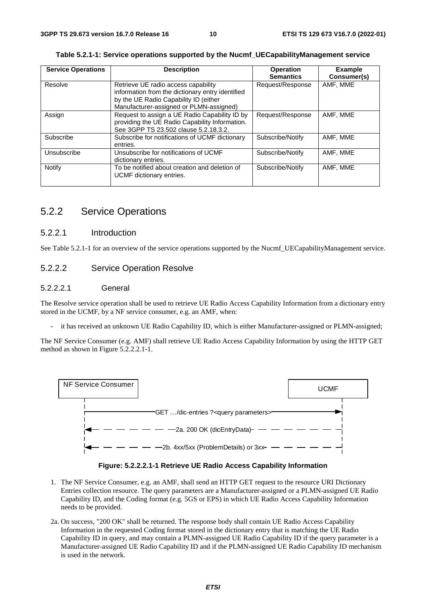| <b>Service Operations</b> | <b>Description</b>                                                                                                                                                          | <b>Operation</b><br><b>Semantics</b> | <b>Example</b><br>Consumer(s) |
|---------------------------|-----------------------------------------------------------------------------------------------------------------------------------------------------------------------------|--------------------------------------|-------------------------------|
| Resolve                   | Retrieve UE radio access capability<br>information from the dictionary entry identified<br>by the UE Radio Capability ID (either<br>Manufacturer-assigned or PLMN-assigned) | Request/Response                     | AMF. MME                      |
| Assign                    | Request to assign a UE Radio Capability ID by<br>providing the UE Radio Capability Information.<br>See 3GPP TS 23.502 clause 5.2.18.3.2.                                    | Request/Response                     | AMF. MME                      |
| Subscribe                 | Subscribe for notifications of UCMF dictionary<br>entries.                                                                                                                  | Subscribe/Notify                     | AMF. MME                      |
| Unsubscribe               | Unsubscribe for notifications of UCMF<br>dictionary entries.                                                                                                                | Subscribe/Notify                     | AMF. MME                      |
| Notify                    | To be notified about creation and deletion of<br>UCMF dictionary entries.                                                                                                   | Subscribe/Notify                     | AMF. MME                      |

|  |  |  |  | Table 5.2.1-1: Service operations supported by the Nucmf_UECapabilityManagement service |
|--|--|--|--|-----------------------------------------------------------------------------------------|
|--|--|--|--|-----------------------------------------------------------------------------------------|

### 5.2.2 Service Operations

#### 5.2.2.1 Introduction

See Table 5.2.1-1 for an overview of the service operations supported by the Nucmf\_UECapabilityManagement service.

#### 5.2.2.2 Service Operation Resolve

#### 5.2.2.2.1 General

The Resolve service operation shall be used to retrieve UE Radio Access Capability Information from a dictionary entry stored in the UCMF, by a NF service consumer, e.g. an AMF, when:

it has received an unknown UE Radio Capability ID, which is either Manufacturer-assigned or PLMN-assigned;

The NF Service Consumer (e.g. AMF) shall retrieve UE Radio Access Capability Information by using the HTTP GET method as shown in Figure 5.2.2.2.1-1.



#### **Figure: 5.2.2.2.1-1 Retrieve UE Radio Access Capability Information**

- 1. The NF Service Consumer, e.g. an AMF, shall send an HTTP GET request to the resource URI Dictionary Entries collection resource. The query parameters are a Manufacturer-assigned or a PLMN-assigned UE Radio Capability ID, and the Coding format (e.g. 5GS or EPS) in which UE Radio Access Capability Information needs to be provided.
- 2a. On success, "200 OK" shall be returned. The response body shall contain UE Radio Access Capability Information in the requested Coding format stored in the dictionary entry that is matching the UE Radio Capability ID in query, and may contain a PLMN-assigned UE Radio Capability ID if the query parameter is a Manufacturer-assigned UE Radio Capability ID and if the PLMN-assigned UE Radio Capability ID mechanism is used in the network.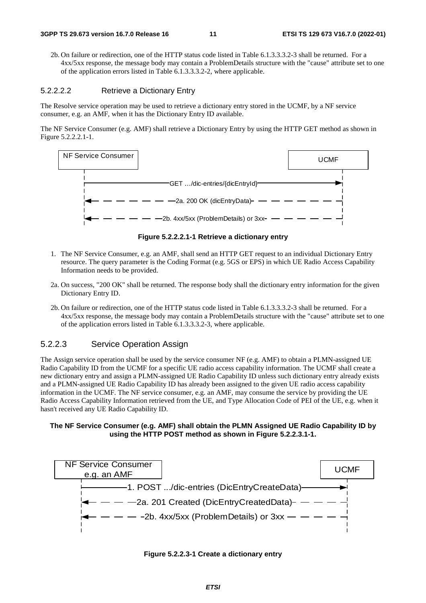2b. On failure or redirection, one of the HTTP status code listed in Table 6.1.3.3.3.2-3 shall be returned. For a 4xx/5xx response, the message body may contain a ProblemDetails structure with the "cause" attribute set to one of the application errors listed in Table 6.1.3.3.3.2-2, where applicable.

#### 5.2.2.2.2 Retrieve a Dictionary Entry

The Resolve service operation may be used to retrieve a dictionary entry stored in the UCMF, by a NF service consumer, e.g. an AMF, when it has the Dictionary Entry ID available.

The NF Service Consumer (e.g. AMF) shall retrieve a Dictionary Entry by using the HTTP GET method as shown in Figure 5.2.2.2.1-1.



**Figure 5.2.2.2.1-1 Retrieve a dictionary entry** 

- 1. The NF Service Consumer, e.g. an AMF, shall send an HTTP GET request to an individual Dictionary Entry resource. The query parameter is the Coding Format (e.g. 5GS or EPS) in which UE Radio Access Capability Information needs to be provided.
- 2a. On success, "200 OK" shall be returned. The response body shall the dictionary entry information for the given Dictionary Entry ID.
- 2b. On failure or redirection, one of the HTTP status code listed in Table 6.1.3.3.3.2-3 shall be returned. For a 4xx/5xx response, the message body may contain a ProblemDetails structure with the "cause" attribute set to one of the application errors listed in Table 6.1.3.3.3.2-3, where applicable.

#### 5.2.2.3 Service Operation Assign

The Assign service operation shall be used by the service consumer NF (e.g. AMF) to obtain a PLMN-assigned UE Radio Capability ID from the UCMF for a specific UE radio access capability information. The UCMF shall create a new dictionary entry and assign a PLMN-assigned UE Radio Capability ID unless such dictionary entry already exists and a PLMN-assigned UE Radio Capability ID has already been assigned to the given UE radio access capability information in the UCMF. The NF service consumer, e.g. an AMF, may consume the service by providing the UE Radio Access Capability Information retrieved from the UE, and Type Allocation Code of PEI of the UE, e.g. when it hasn't received any UE Radio Capability ID.

#### **The NF Service Consumer (e.g. AMF) shall obtain the PLMN Assigned UE Radio Capability ID by using the HTTP POST method as shown in Figure 5.2.2.3.1-1.**



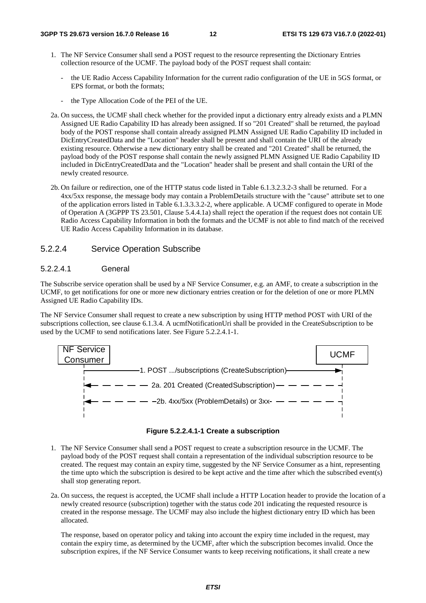- 1. The NF Service Consumer shall send a POST request to the resource representing the Dictionary Entries collection resource of the UCMF. The payload body of the POST request shall contain:
	- the UE Radio Access Capability Information for the current radio configuration of the UE in 5GS format, or EPS format, or both the formats;
	- the Type Allocation Code of the PEI of the UE.
- 2a. On success, the UCMF shall check whether for the provided input a dictionary entry already exists and a PLMN Assigned UE Radio Capability ID has already been assigned. If so "201 Created" shall be returned, the payload body of the POST response shall contain already assigned PLMN Assigned UE Radio Capability ID included in DicEntryCreatedData and the "Location" header shall be present and shall contain the URI of the already existing resource. Otherwise a new dictionary entry shall be created and "201 Created" shall be returned, the payload body of the POST response shall contain the newly assigned PLMN Assigned UE Radio Capability ID included in DicEntryCreatedData and the "Location" header shall be present and shall contain the URI of the newly created resource.
- 2b. On failure or redirection, one of the HTTP status code listed in Table 6.1.3.2.3.2-3 shall be returned. For a 4xx/5xx response, the message body may contain a ProblemDetails structure with the "cause" attribute set to one of the application errors listed in Table 6.1.3.3.3.2-2, where applicable. A UCMF configured to operate in Mode of Operation A (3GPPP TS 23.501, Clause 5.4.4.1a) shall reject the operation if the request does not contain UE Radio Access Capability Information in both the formats and the UCMF is not able to find match of the received UE Radio Access Capability Information in its database.

#### 5.2.2.4 Service Operation Subscribe

#### 5.2.2.4.1 General

The Subscribe service operation shall be used by a NF Service Consumer, e.g. an AMF, to create a subscription in the UCMF, to get notifications for one or more new dictionary entries creation or for the deletion of one or more PLMN Assigned UE Radio Capability IDs.

The NF Service Consumer shall request to create a new subscription by using HTTP method POST with URI of the subscriptions collection, see clause 6.1.3.4. A ucmfNotificationUri shall be provided in the CreateSubscription to be used by the UCMF to send notifications later. See Figure 5.2.2.4.1-1.



#### **Figure 5.2.2.4.1-1 Create a subscription**

- 1. The NF Service Consumer shall send a POST request to create a subscription resource in the UCMF. The payload body of the POST request shall contain a representation of the individual subscription resource to be created. The request may contain an expiry time, suggested by the NF Service Consumer as a hint, representing the time upto which the subscription is desired to be kept active and the time after which the subscribed event(s) shall stop generating report.
- 2a. On success, the request is accepted, the UCMF shall include a HTTP Location header to provide the location of a newly created resource (subscription) together with the status code 201 indicating the requested resource is created in the response message. The UCMF may also include the highest dictionary entry ID which has been allocated.

The response, based on operator policy and taking into account the expiry time included in the request, may contain the expiry time, as determined by the UCMF, after which the subscription becomes invalid. Once the subscription expires, if the NF Service Consumer wants to keep receiving notifications, it shall create a new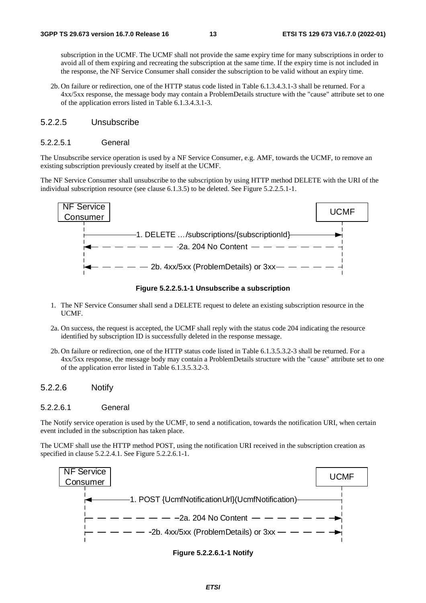subscription in the UCMF. The UCMF shall not provide the same expiry time for many subscriptions in order to avoid all of them expiring and recreating the subscription at the same time. If the expiry time is not included in the response, the NF Service Consumer shall consider the subscription to be valid without an expiry time.

2b. On failure or redirection, one of the HTTP status code listed in Table 6.1.3.4.3.1-3 shall be returned. For a 4xx/5xx response, the message body may contain a ProblemDetails structure with the "cause" attribute set to one of the application errors listed in Table 6.1.3.4.3.1-3.

#### 5.2.2.5 Unsubscribe

#### 5.2.2.5.1 General

The Unsubscribe service operation is used by a NF Service Consumer, e.g. AMF, towards the UCMF, to remove an existing subscription previously created by itself at the UCMF.

The NF Service Consumer shall unsubscribe to the subscription by using HTTP method DELETE with the URI of the individual subscription resource (see clause 6.1.3.5) to be deleted. See Figure 5.2.2.5.1-1.



**Figure 5.2.2.5.1-1 Unsubscribe a subscription** 

- 1. The NF Service Consumer shall send a DELETE request to delete an existing subscription resource in the UCMF.
- 2a. On success, the request is accepted, the UCMF shall reply with the status code 204 indicating the resource identified by subscription ID is successfully deleted in the response message.
- 2b. On failure or redirection, one of the HTTP status code listed in Table 6.1.3.5.3.2-3 shall be returned. For a 4xx/5xx response, the message body may contain a ProblemDetails structure with the "cause" attribute set to one of the application error listed in Table 6.1.3.5.3.2-3.

#### 5.2.2.6 Notify

#### 5.2.2.6.1 General

The Notify service operation is used by the UCMF, to send a notification, towards the notification URI, when certain event included in the subscription has taken place.

The UCMF shall use the HTTP method POST, using the notification URI received in the subscription creation as specified in clause 5.2.2.4.1. See Figure 5.2.2.6.1-1.



#### **Figure 5.2.2.6.1-1 Notify**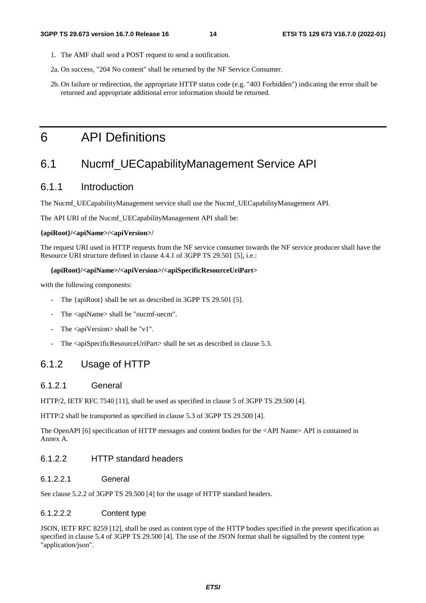- 1. The AMF shall send a POST request to send a notification.
- 2a. On success, "204 No content" shall be returned by the NF Service Consumer.
- 2b. On failure or redirection, the appropriate HTTP status code (e.g. "403 Forbidden") indicating the error shall be returned and appropriate additional error information should be returned.

## 6 API Definitions

## 6.1 Nucmf\_UECapabilityManagement Service API

### 6.1.1 Introduction

The Nucmf\_UECapabilityManagement service shall use the Nucmf\_UECapabilityManagement API.

The API URI of the Nucmf\_UECapabilityManagement API shall be:

#### **{apiRoot}/<apiName>/<apiVersion>/**

The request URI used in HTTP requests from the NF service consumer towards the NF service producer shall have the Resource URI structure defined in clause 4.4.1 of 3GPP TS 29.501 [5], i.e.:

#### **{apiRoot}/<apiName>/<apiVersion>/<apiSpecificResourceUriPart>**

with the following components:

- The {apiRoot} shall be set as described in 3GPP TS 29.501 [5].
- The <apiName> shall be "nucmf-uecm".
- The  $\langle$ apiVersion $>$ shall be "v1".
- The <apiSpecificResourceUriPart> shall be set as described in clause 5.3.

### 6.1.2 Usage of HTTP

#### 6.1.2.1 General

HTTP/2, IETF RFC 7540 [11], shall be used as specified in clause 5 of 3GPP TS 29.500 [4].

HTTP/2 shall be transported as specified in clause 5.3 of 3GPP TS 29.500 [4].

The OpenAPI [6] specification of HTTP messages and content bodies for the <API Name> API is contained in Annex A.

#### 6.1.2.2 HTTP standard headers

6.1.2.2.1 General

See clause 5.2.2 of 3GPP TS 29.500 [4] for the usage of HTTP standard headers.

#### 6.1.2.2.2 Content type

JSON, IETF RFC 8259 [12], shall be used as content type of the HTTP bodies specified in the present specification as specified in clause 5.4 of 3GPP TS 29.500 [4]. The use of the JSON format shall be signalled by the content type "application/json".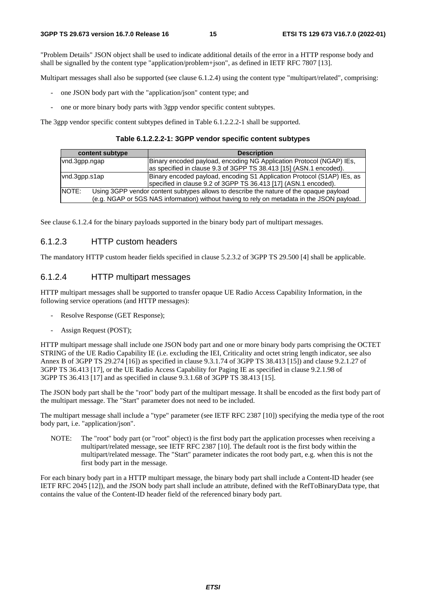"Problem Details" JSON object shall be used to indicate additional details of the error in a HTTP response body and shall be signalled by the content type "application/problem+json", as defined in IETF RFC 7807 [13].

Multipart messages shall also be supported (see clause 6.1.2.4) using the content type "multipart/related", comprising:

- one JSON body part with the "application/json" content type; and
- one or more binary body parts with 3gpp vendor specific content subtypes.

The 3gpp vendor specific content subtypes defined in Table 6.1.2.2.2-1 shall be supported.

**Table 6.1.2.2.2-1: 3GPP vendor specific content subtypes** 

| content subtype                                                                                                                                                                               | <b>Description</b>                                                                                                                         |  |
|-----------------------------------------------------------------------------------------------------------------------------------------------------------------------------------------------|--------------------------------------------------------------------------------------------------------------------------------------------|--|
| vnd.3qpp.ngap                                                                                                                                                                                 | Binary encoded payload, encoding NG Application Protocol (NGAP) IEs,<br>as specified in clause 9.3 of 3GPP TS 38.413 [15] (ASN.1 encoded). |  |
| vnd.3gpp.s1ap                                                                                                                                                                                 | Binary encoded payload, encoding S1 Application Protocol (S1AP) IEs, as<br>specified in clause 9.2 of 3GPP TS 36.413 [17] (ASN.1 encoded). |  |
| NOTE:<br>Using 3GPP vendor content subtypes allows to describe the nature of the opaque payload<br>(e.g. NGAP or 5GS NAS information) without having to rely on metadata in the JSON payload. |                                                                                                                                            |  |

See clause 6.1.2.4 for the binary payloads supported in the binary body part of multipart messages.

#### 6.1.2.3 HTTP custom headers

The mandatory HTTP custom header fields specified in clause 5.2.3.2 of 3GPP TS 29.500 [4] shall be applicable.

#### 6.1.2.4 HTTP multipart messages

HTTP multipart messages shall be supported to transfer opaque UE Radio Access Capability Information, in the following service operations (and HTTP messages):

- Resolve Response (GET Response);
- Assign Request (POST);

HTTP multipart message shall include one JSON body part and one or more binary body parts comprising the OCTET STRING of the UE Radio Capability IE (i.e. excluding the IEI, Criticality and octet string length indicator, see also Annex B of 3GPP TS 29.274 [16]) as specified in clause 9.3.1.74 of 3GPP TS 38.413 [15]) and clause 9.2.1.27 of 3GPP TS 36.413 [17], or the UE Radio Access Capability for Paging IE as specified in clause 9.2.1.98 of 3GPP TS 36.413 [17] and as specified in clause 9.3.1.68 of 3GPP TS 38.413 [15].

The JSON body part shall be the "root" body part of the multipart message. It shall be encoded as the first body part of the multipart message. The "Start" parameter does not need to be included.

The multipart message shall include a "type" parameter (see IETF RFC 2387 [10]) specifying the media type of the root body part, i.e. "application/json".

NOTE: The "root" body part (or "root" object) is the first body part the application processes when receiving a multipart/related message, see IETF RFC 2387 [10]. The default root is the first body within the multipart/related message. The "Start" parameter indicates the root body part, e.g. when this is not the first body part in the message.

For each binary body part in a HTTP multipart message, the binary body part shall include a Content-ID header (see IETF RFC 2045 [12]), and the JSON body part shall include an attribute, defined with the RefToBinaryData type, that contains the value of the Content-ID header field of the referenced binary body part.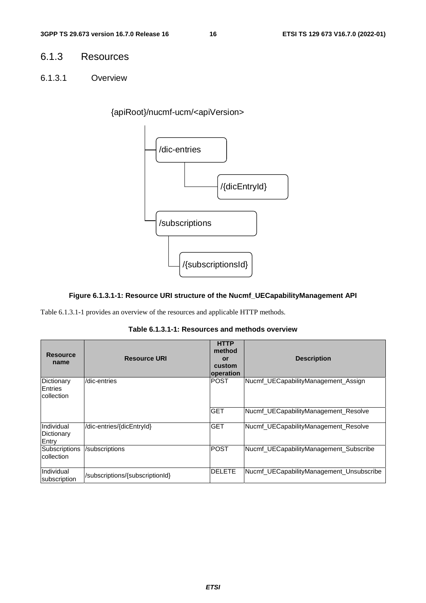### 6.1.3 Resources

6.1.3.1 Overview

{apiRoot}/nucmf-ucm/<apiVersion>



#### **Figure 6.1.3.1-1: Resource URI structure of the Nucmf\_UECapabilityManagement API**

Table 6.1.3.1-1 provides an overview of the resources and applicable HTTP methods.

| <b>Resource</b><br>name                    | <b>Resource URI</b>             | <b>HTTP</b><br>method<br>or<br>custom<br>operation | <b>Description</b>                       |
|--------------------------------------------|---------------------------------|----------------------------------------------------|------------------------------------------|
| Dictionary<br>Entries<br><b>collection</b> | /dic-entries                    | <b>POST</b>                                        | Nucmf_UECapabilityManagement_Assign      |
|                                            |                                 | <b>GET</b>                                         | Nucmf UECapabilityManagement Resolve     |
| Individual<br>Dictionary<br>Entry          | /dic-entries/{dicEntryId}       | <b>GET</b>                                         | Nucmf UECapabilityManagement Resolve     |
| Subscriptions<br>collection                | /subscriptions                  | <b>POST</b>                                        | Nucmf UECapabilityManagement Subscribe   |
| Individual<br>subscription                 | /subscriptions/{subscriptionId} | <b>DELETE</b>                                      | Nucmf UECapabilityManagement Unsubscribe |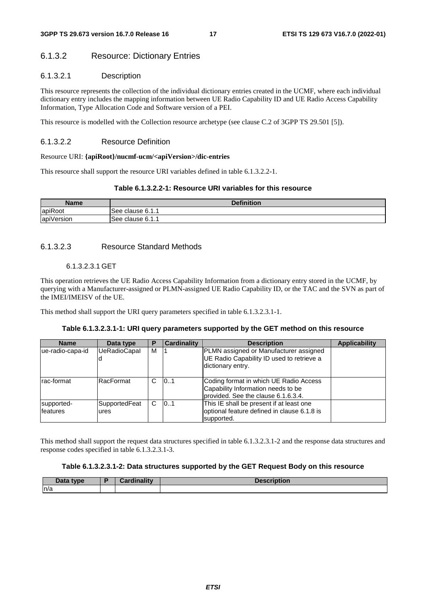#### 6.1.3.2 Resource: Dictionary Entries

#### 6.1.3.2.1 Description

This resource represents the collection of the individual dictionary entries created in the UCMF, where each individual dictionary entry includes the mapping information between UE Radio Capability ID and UE Radio Access Capability Information, Type Allocation Code and Software version of a PEI.

This resource is modelled with the Collection resource archetype (see clause C.2 of 3GPP TS 29.501 [5]).

#### 6.1.3.2.2 Resource Definition

#### Resource URI: **{apiRoot}/nucmf-ucm/<apiVersion>/dic-entries**

This resource shall support the resource URI variables defined in table 6.1.3.2.2-1.

#### **Table 6.1.3.2.2-1: Resource URI variables for this resource**

| Name       | <b>Definition</b> |
|------------|-------------------|
| apiRoot    | See clause 6.1.1  |
| apiVersion | ISee clause 6.1.1 |

#### 6.1.3.2.3 Resource Standard Methods

#### 6.1.3.2.3.1 GET

This operation retrieves the UE Radio Access Capability Information from a dictionary entry stored in the UCMF, by querying with a Manufacturer-assigned or PLMN-assigned UE Radio Capability ID, or the TAC and the SVN as part of the IMEI/IMEISV of the UE.

This method shall support the URI query parameters specified in table 6.1.3.2.3.1-1.

#### **Table 6.1.3.2.3.1-1: URI query parameters supported by the GET method on this resource**

| <b>Name</b>                   | Data type             | Р | <b>Cardinality</b> | <b>Description</b>                                                                                                   | <b>Applicability</b> |
|-------------------------------|-----------------------|---|--------------------|----------------------------------------------------------------------------------------------------------------------|----------------------|
| ue-radio-capa-id              | <b>UeRadioCapal</b>   | M |                    | PLMN assigned or Manufacturer assigned<br>UE Radio Capability ID used to retrieve a<br>dictionary entry.             |                      |
| rac-format                    | RacFormat             | C | 101                | Coding format in which UE Radio Access<br>Capability Information needs to be<br>Iprovided. See the clause 6.1.6.3.4. |                      |
| supported-<br><b>features</b> | SupportedFeat<br>ures | C | 101                | This IE shall be present if at least one<br>optional feature defined in clause 6.1.8 is<br>supported.                |                      |

This method shall support the request data structures specified in table 6.1.3.2.3.1-2 and the response data structures and response codes specified in table 6.1.3.2.3.1-3.

#### **Table 6.1.3.2.3.1-2: Data structures supported by the GET Request Body on this resource**

| Data type | Cardinalitv | <b>Description</b> |
|-----------|-------------|--------------------|
| n/a       |             |                    |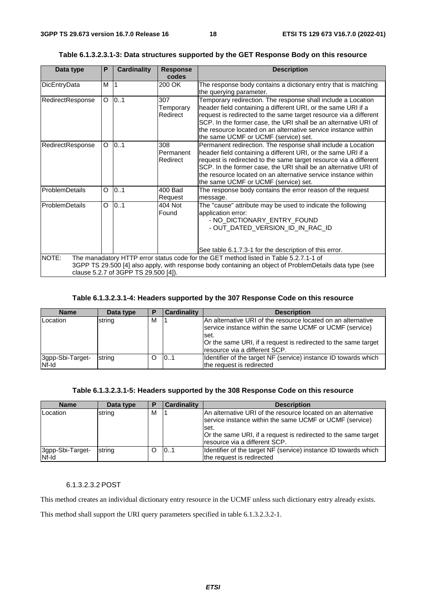| Data type                                                                                                                                                                                                                                         | P | <b>Cardinality</b> | <b>Response</b><br>codes     | <b>Description</b>                                                                                                                                                                                                                                                                                                                                                              |  |  |
|---------------------------------------------------------------------------------------------------------------------------------------------------------------------------------------------------------------------------------------------------|---|--------------------|------------------------------|---------------------------------------------------------------------------------------------------------------------------------------------------------------------------------------------------------------------------------------------------------------------------------------------------------------------------------------------------------------------------------|--|--|
| DicEntryData                                                                                                                                                                                                                                      | М |                    | 200 OK                       | The response body contains a dictionary entry that is matching                                                                                                                                                                                                                                                                                                                  |  |  |
|                                                                                                                                                                                                                                                   |   |                    |                              | the querying parameter.                                                                                                                                                                                                                                                                                                                                                         |  |  |
| RedirectResponse                                                                                                                                                                                                                                  | O | 0.1                | 307<br>Temporary<br>Redirect | Temporary redirection. The response shall include a Location<br>header field containing a different URI, or the same URI if a<br>request is redirected to the same target resource via a different<br>SCP. In the former case, the URI shall be an alternative URI of<br>the resource located on an alternative service instance within<br>the same UCMF or UCMF (service) set. |  |  |
| RedirectResponse                                                                                                                                                                                                                                  | O | 0.1                | 308<br>Permanent<br>Redirect | Permanent redirection. The response shall include a Location<br>header field containing a different URI, or the same URI if a<br>request is redirected to the same target resource via a different<br>SCP. In the former case, the URI shall be an alternative URI of<br>the resource located on an alternative service instance within<br>the same UCMF or UCMF (service) set. |  |  |
| ProblemDetails                                                                                                                                                                                                                                    | O | 0.1                | 400 Bad<br>Request           | The response body contains the error reason of the request<br>message.                                                                                                                                                                                                                                                                                                          |  |  |
| <b>ProblemDetails</b>                                                                                                                                                                                                                             | O | 0.1                | 404 Not<br>Found             | The "cause" attribute may be used to indicate the following<br>application error:<br>- NO_DICTIONARY_ENTRY_FOUND<br>- OUT_DATED_VERSION_ID_IN_RAC_ID                                                                                                                                                                                                                            |  |  |
|                                                                                                                                                                                                                                                   |   |                    |                              | See table 6.1.7.3-1 for the description of this error.                                                                                                                                                                                                                                                                                                                          |  |  |
| NOTE:<br>The manadatory HTTP error status code for the GET method listed in Table 5.2.7.1-1 of<br>3GPP TS 29.500 [4] also apply, with response body containing an object of ProblemDetails data type (see<br>clause 5.2.7 of 3GPP TS 29.500 [4]). |   |                    |                              |                                                                                                                                                                                                                                                                                                                                                                                 |  |  |

#### **Table 6.1.3.2.3.1-3: Data structures supported by the GET Response Body on this resource**

**Table 6.1.3.2.3.1-4: Headers supported by the 307 Response Code on this resource** 

| <b>Name</b>               | Data type | P | <b>Cardinality</b> | <b>Description</b>                                                                                                                                                                                                                    |
|---------------------------|-----------|---|--------------------|---------------------------------------------------------------------------------------------------------------------------------------------------------------------------------------------------------------------------------------|
| Location                  | string    | м |                    | IAn alternative URI of the resource located on an alternative<br>service instance within the same UCMF or UCMF (service)<br>lset.<br>Or the same URI, if a request is redirected to the same target<br>Iresource via a different SCP. |
| 3gpp-Sbi-Target-<br>Nf-Id | string    |   | 0.1                | Identifier of the target NF (service) instance ID towards which<br>the request is redirected                                                                                                                                          |

#### **Table 6.1.3.2.3.1-5: Headers supported by the 308 Response Code on this resource**

| <b>Name</b>               | Data type | Р | <b>Cardinality</b> | <b>Description</b>                                                                                                                |
|---------------------------|-----------|---|--------------------|-----------------------------------------------------------------------------------------------------------------------------------|
| Location                  | string    | M |                    | IAn alternative URI of the resource located on an alternative<br>service instance within the same UCMF or UCMF (service)<br>lset. |
|                           |           |   |                    | Or the same URI, if a request is redirected to the same target<br>Iresource via a different SCP.                                  |
| 3gpp-Sbi-Target-<br>Nf-Id | string    | Ω | 0.1                | Identifier of the target NF (service) instance ID towards which<br>the request is redirected                                      |

#### 6.1.3.2.3.2 POST

This method creates an individual dictionary entry resource in the UCMF unless such dictionary entry already exists.

This method shall support the URI query parameters specified in table 6.1.3.2.3.2-1.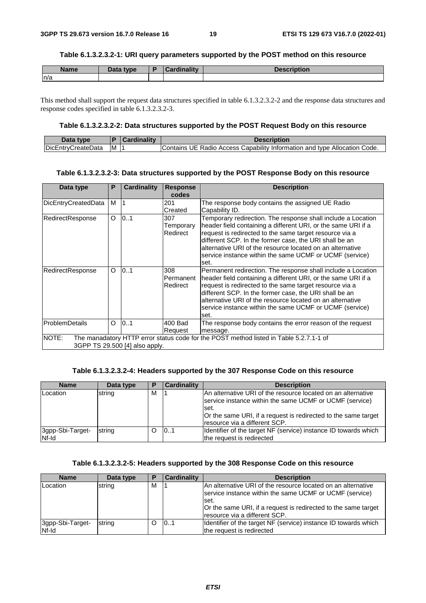#### **Table 6.1.3.2.3.2-1: URI query parameters supported by the POST method on this resource**

| <b>Name</b> | <b>Data type</b> | $-$ and in other $+$<br>adiity | <b>Decorintion</b><br>--- JLIO1 |
|-------------|------------------|--------------------------------|---------------------------------|
| n/a         |                  |                                |                                 |

This method shall support the request data structures specified in table 6.1.3.2.3.2-2 and the response data structures and response codes specified in table 6.1.3.2.3.2-3.

#### **Table 6.1.3.2.3.2-2: Data structures supported by the POST Request Body on this resource**

| Data type                  |   | Cardinality | <b>Description</b>                                                             |
|----------------------------|---|-------------|--------------------------------------------------------------------------------|
| <b>IDicEntryCreateData</b> | M |             | Code.<br>Contains UE Radio Access Capability Information and type Allocation ( |

#### **Table 6.1.3.2.3.2-3: Data structures supported by the POST Response Body on this resource**

| Data type                                                                                                                         | P. | Cardinality | <b>Response</b><br>codes     | <b>Description</b>                                                                                                                                                                                                                                                                                                                                                                  |
|-----------------------------------------------------------------------------------------------------------------------------------|----|-------------|------------------------------|-------------------------------------------------------------------------------------------------------------------------------------------------------------------------------------------------------------------------------------------------------------------------------------------------------------------------------------------------------------------------------------|
| DicEntryCreatedData                                                                                                               | М  |             | 201<br>Created               | The response body contains the assigned UE Radio<br>Capability ID.                                                                                                                                                                                                                                                                                                                  |
| RedirectResponse                                                                                                                  | O  | 0.1         | 307<br>Temporary<br>Redirect | Temporary redirection. The response shall include a Location<br>header field containing a different URI, or the same URI if a<br>request is redirected to the same target resource via a<br>different SCP. In the former case, the URI shall be an<br>alternative URI of the resource located on an alternative<br>service instance within the same UCMF or UCMF (service)<br>lset. |
| RedirectResponse                                                                                                                  | O  | 0.1         | 308<br>Permanent<br>Redirect | Permanent redirection. The response shall include a Location<br>header field containing a different URI, or the same URI if a<br>request is redirected to the same target resource via a<br>different SCP. In the former case, the URI shall be an<br>alternative URI of the resource located on an alternative<br>service instance within the same UCMF or UCMF (service)<br>lset. |
| ProblemDetails                                                                                                                    | O  | 0.1         | 400 Bad<br>Request           | The response body contains the error reason of the request<br>message.                                                                                                                                                                                                                                                                                                              |
| NOTE:<br>The manadatory HTTP error status code for the POST method listed in Table 5.2.7.1-1 of<br>3GPP TS 29.500 [4] also apply. |    |             |                              |                                                                                                                                                                                                                                                                                                                                                                                     |

#### **Table 6.1.3.2.3.2-4: Headers supported by the 307 Response Code on this resource**

| <b>Name</b>               | Data type | Е | <b>Cardinality</b> | <b>Description</b>                                                                                                                                                                                                                    |
|---------------------------|-----------|---|--------------------|---------------------------------------------------------------------------------------------------------------------------------------------------------------------------------------------------------------------------------------|
| Location                  | string    | м |                    | IAn alternative URI of the resource located on an alternative<br>service instance within the same UCMF or UCMF (service)<br>lset.<br>Or the same URI, if a request is redirected to the same target<br>Iresource via a different SCP. |
| 3gpp-Sbi-Target-<br>Nf-Id | string    |   | 0.1                | Identifier of the target NF (service) instance ID towards which<br>the request is redirected                                                                                                                                          |

#### **Table 6.1.3.2.3.2-5: Headers supported by the 308 Response Code on this resource**

| <b>Name</b>               | Data type | Е | <b>Cardinality</b> | <b>Description</b>                                                                                                                                                                                                                  |
|---------------------------|-----------|---|--------------------|-------------------------------------------------------------------------------------------------------------------------------------------------------------------------------------------------------------------------------------|
| Location                  | string    | м |                    | An alternative URI of the resource located on an alternative<br>service instance within the same UCMF or UCMF (service)<br>.set<br>Or the same URI, if a request is redirected to the same target<br>Iresource via a different SCP. |
| 3gpp-Sbi-Target-<br>Nf-Id | string    |   | 101                | Identifier of the target NF (service) instance ID towards which<br>the request is redirected                                                                                                                                        |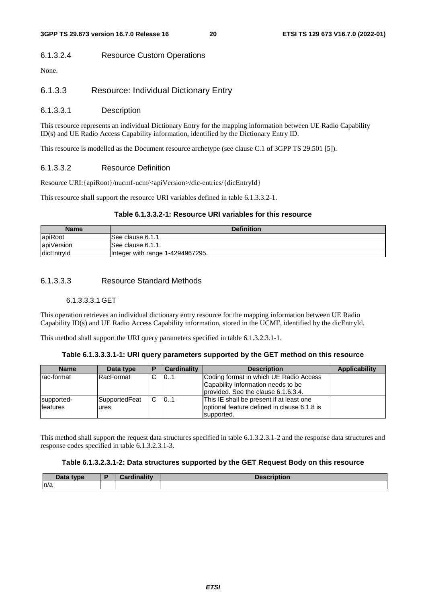#### 6.1.3.2.4 Resource Custom Operations

None.

#### 6.1.3.3 Resource: Individual Dictionary Entry

#### 6.1.3.3.1 Description

This resource represents an individual Dictionary Entry for the mapping information between UE Radio Capability ID(s) and UE Radio Access Capability information, identified by the Dictionary Entry ID.

This resource is modelled as the Document resource archetype (see clause C.1 of 3GPP TS 29.501 [5]).

#### 6.1.3.3.2 Resource Definition

Resource URI:{apiRoot}/nucmf-ucm/<apiVersion>/dic-entries/{dicEntryId}

This resource shall support the resource URI variables defined in table 6.1.3.3.2-1.

#### **Table 6.1.3.3.2-1: Resource URI variables for this resource**

| <b>Name</b> | <b>Definition</b>                |
|-------------|----------------------------------|
| apiRoot     | See clause 6.1.1                 |
| apiVersion  | See clause 6.1.1.                |
| dicEntryId  | Integer with range 1-4294967295. |

#### 6.1.3.3.3 Resource Standard Methods

#### 6.1.3.3.3.1 GET

This operation retrieves an individual dictionary entry resource for the mapping information between UE Radio Capability ID(s) and UE Radio Access Capability information, stored in the UCMF, identified by the dicEntryId.

This method shall support the URI query parameters specified in table 6.1.3.2.3.1-1.

#### **Table 6.1.3.3.3.1-1: URI query parameters supported by the GET method on this resource**

| <b>Name</b>                   | Data type              | P | <b>Cardinality</b> | <b>Description</b>                                                                                                  | <b>Applicability</b> |
|-------------------------------|------------------------|---|--------------------|---------------------------------------------------------------------------------------------------------------------|----------------------|
| Irac-format                   | RacFormat              | С | 101                | Coding format in which UE Radio Access<br>Capability Information needs to be<br>provided. See the clause 6.1.6.3.4. |                      |
| supported-<br><b>features</b> | SupportedFeat<br>lures | C | 01                 | This IE shall be present if at least one<br>optional feature defined in clause 6.1.8 is<br>supported.               |                      |

This method shall support the request data structures specified in table 6.1.3.2.3.1-2 and the response data structures and response codes specified in table 6.1.3.2.3.1-3.

#### **Table 6.1.3.2.3.1-2: Data structures supported by the GET Request Body on this resource**

| Data type | Constituto de la constitución<br>.<br>$\overline{1}$ | <b>Description</b> |
|-----------|------------------------------------------------------|--------------------|
| n/a       |                                                      |                    |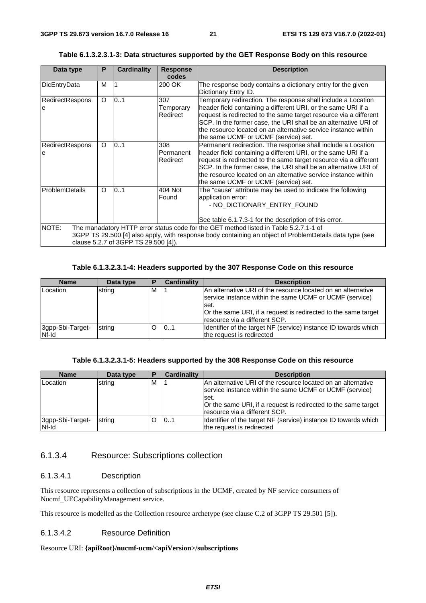#### **Table 6.1.3.2.3.1-3: Data structures supported by the GET Response Body on this resource**

| Data type                                                                                                                                                                                                                                         | P        | <b>Cardinality</b> | <b>Response</b><br>codes     | <b>Description</b>                                                                                                                                                                                                                                                                                                                                                              |
|---------------------------------------------------------------------------------------------------------------------------------------------------------------------------------------------------------------------------------------------------|----------|--------------------|------------------------------|---------------------------------------------------------------------------------------------------------------------------------------------------------------------------------------------------------------------------------------------------------------------------------------------------------------------------------------------------------------------------------|
| DicEntryData                                                                                                                                                                                                                                      | м        |                    | 200 OK                       | The response body contains a dictionary entry for the given<br>Dictionary Entry ID.                                                                                                                                                                                                                                                                                             |
| <b>RedirectRespons</b><br>e                                                                                                                                                                                                                       | $\circ$  | 0.1                | 307<br>Temporary<br>Redirect | Temporary redirection. The response shall include a Location<br>header field containing a different URI, or the same URI if a<br>request is redirected to the same target resource via a different<br>SCP. In the former case, the URI shall be an alternative URI of<br>the resource located on an alternative service instance within<br>the same UCMF or UCMF (service) set. |
| <b>RedirectRespons</b><br>le                                                                                                                                                                                                                      | $\Omega$ | 0.1                | 308<br>Permanent<br>Redirect | Permanent redirection. The response shall include a Location<br>header field containing a different URI, or the same URI if a<br>request is redirected to the same target resource via a different<br>SCP. In the former case, the URI shall be an alternative URI of<br>the resource located on an alternative service instance within<br>the same UCMF or UCMF (service) set. |
| ProblemDetails                                                                                                                                                                                                                                    | O        | 0.1                | 404 Not<br>Found             | The "cause" attribute may be used to indicate the following<br>application error:<br>- NO DICTIONARY ENTRY FOUND<br>See table 6.1.7.3-1 for the description of this error.                                                                                                                                                                                                      |
| NOTE:<br>The manadatory HTTP error status code for the GET method listed in Table 5.2.7.1-1 of<br>3GPP TS 29.500 [4] also apply, with response body containing an object of ProblemDetails data type (see<br>clause 5.2.7 of 3GPP TS 29.500 [4]). |          |                    |                              |                                                                                                                                                                                                                                                                                                                                                                                 |

#### **Table 6.1.3.2.3.1-4: Headers supported by the 307 Response Code on this resource**

| <b>Name</b>               | Data type | Р | <b>Cardinality</b> | <b>Description</b>                                                                                                                                                                                                                   |
|---------------------------|-----------|---|--------------------|--------------------------------------------------------------------------------------------------------------------------------------------------------------------------------------------------------------------------------------|
| Location                  | string    | м |                    | An alternative URI of the resource located on an alternative<br>service instance within the same UCMF or UCMF (service)<br>lset.<br>Or the same URI, if a request is redirected to the same target<br>Iresource via a different SCP. |
| 3gpp-Sbi-Target-<br>Nf-Id | string    |   | 101                | Identifier of the target NF (service) instance ID towards which<br>the request is redirected                                                                                                                                         |

#### **Table 6.1.3.2.3.1-5: Headers supported by the 308 Response Code on this resource**

| <b>Name</b>               | Data type | P | Cardinality | <b>Description</b>                                                                                                                                                                                                                   |
|---------------------------|-----------|---|-------------|--------------------------------------------------------------------------------------------------------------------------------------------------------------------------------------------------------------------------------------|
| Location                  | string    | M |             | An alternative URI of the resource located on an alternative<br>service instance within the same UCMF or UCMF (service)<br>lset.<br>Or the same URI, if a request is redirected to the same target<br>Iresource via a different SCP. |
| 3gpp-Sbi-Target-<br>Nf-Id | string    |   | 0.1         | Identifier of the target NF (service) instance ID towards which<br>the request is redirected                                                                                                                                         |

#### 6.1.3.4 Resource: Subscriptions collection

#### 6.1.3.4.1 Description

This resource represents a collection of subscriptions in the UCMF, created by NF service consumers of Nucmf\_UECapabilityManagement service.

This resource is modelled as the Collection resource archetype (see clause C.2 of 3GPP TS 29.501 [5]).

#### 6.1.3.4.2 Resource Definition

#### Resource URI: **{apiRoot}/nucmf-ucm/<apiVersion>/subscriptions**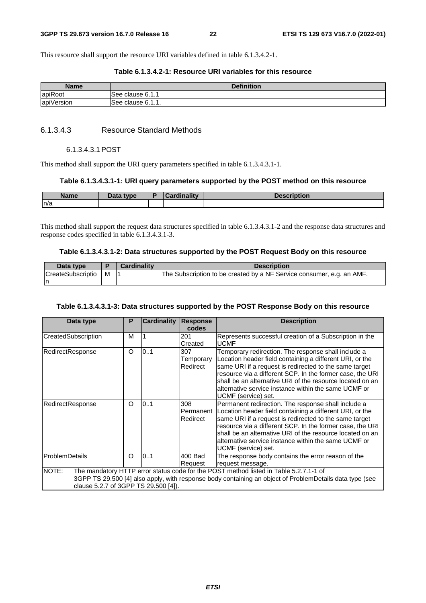This resource shall support the resource URI variables defined in table 6.1.3.4.2-1.

#### **Table 6.1.3.4.2-1: Resource URI variables for this resource**

| Name       | <b>Definition</b> |
|------------|-------------------|
| apiRoot    | lSee clause 6.1.1 |
| apiVersion | See clause 6.1.1. |

#### 6.1.3.4.3 Resource Standard Methods

#### 6.1.3.4.3.1 POST

This method shall support the URI query parameters specified in table 6.1.3.4.3.1-1.

#### **Table 6.1.3.4.3.1-1: URI query parameters supported by the POST method on this resource**

| <b>Name</b> | <b>D</b> -4-<br><b>type</b><br>Data | <b>STATISTICS</b><br>$\sim$ | ----------<br>чин |
|-------------|-------------------------------------|-----------------------------|-------------------|
| n/a         |                                     |                             |                   |

This method shall support the request data structures specified in table 6.1.3.4.3.1-2 and the response data structures and response codes specified in table 6.1.3.4.3.1-3.

#### **Table 6.1.3.4.3.1-2: Data structures supported by the POST Request Body on this resource**

| Data type         |   | <b>Cardinality</b> | <b>Description</b>                                                    |
|-------------------|---|--------------------|-----------------------------------------------------------------------|
| CreateSubscriptio | M |                    | The Subscription to be created by a NF Service consumer, e.g. an AMF. |
| ın                |   |                    |                                                                       |

#### **Table 6.1.3.4.3.1-3: Data structures supported by the POST Response Body on this resource**

| Data type                                     | P | <b>Cardinality</b> | <b>Response</b><br>codes     | <b>Description</b>                                                                                                                                                                                                                                                                                                                                                                 |
|-----------------------------------------------|---|--------------------|------------------------------|------------------------------------------------------------------------------------------------------------------------------------------------------------------------------------------------------------------------------------------------------------------------------------------------------------------------------------------------------------------------------------|
| CreatedSubscription                           | M |                    | 201<br>Created               | Represents successful creation of a Subscription in the<br><b>UCMF</b>                                                                                                                                                                                                                                                                                                             |
| RedirectResponse                              | O | 0.1                | 307<br>Temporary<br>Redirect | Temporary redirection. The response shall include a<br>Location header field containing a different URI, or the<br>same URI if a request is redirected to the same target<br>resource via a different SCP. In the former case, the URI<br>shall be an alternative URI of the resource located on an<br>alternative service instance within the same UCMF or<br>UCMF (service) set. |
| RedirectResponse                              | O | 0.1                | 308<br>Permanent<br>Redirect | Permanent redirection. The response shall include a<br>Location header field containing a different URI, or the<br>same URI if a request is redirected to the same target<br>resource via a different SCP. In the former case, the URI<br>shall be an alternative URI of the resource located on an<br>alternative service instance within the same UCMF or<br>UCMF (service) set. |
| ProblemDetails                                | O | 0.1                | 400 Bad<br>Request           | The response body contains the error reason of the<br>request message.                                                                                                                                                                                                                                                                                                             |
| NOTE:<br>clause 5.2.7 of 3GPP TS 29.500 [4]). |   |                    |                              | The mandatory HTTP error status code for the POST method listed in Table 5.2.7.1-1 of<br>3GPP TS 29.500 [4] also apply, with response body containing an object of ProblemDetails data type (see                                                                                                                                                                                   |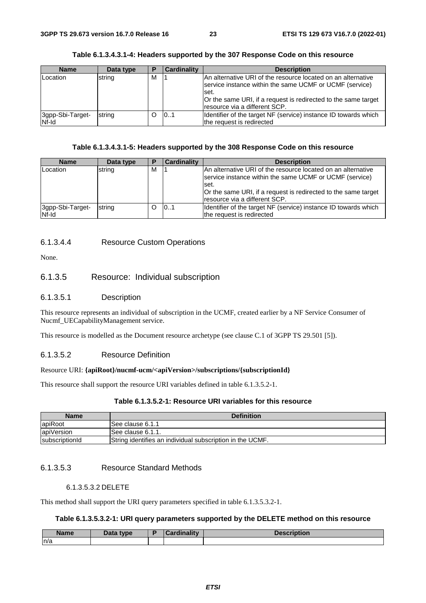| Table 6.1.3.4.3.1-4: Headers supported by the 307 Response Code on this resource |  |
|----------------------------------------------------------------------------------|--|
|----------------------------------------------------------------------------------|--|

| <b>Name</b>               | Data type | Е | <b>Cardinality</b> | <b>Description</b>                                                                                                                                                                                                                    |
|---------------------------|-----------|---|--------------------|---------------------------------------------------------------------------------------------------------------------------------------------------------------------------------------------------------------------------------------|
| Location                  | string    | M |                    | IAn alternative URI of the resource located on an alternative<br>service instance within the same UCMF or UCMF (service)<br>lset.<br>Or the same URI, if a request is redirected to the same target<br>Iresource via a different SCP. |
| 3gpp-Sbi-Target-<br>Nf-Id | string    |   | 101                | Identifier of the target NF (service) instance ID towards which<br>the request is redirected                                                                                                                                          |

#### **Table 6.1.3.4.3.1-5: Headers supported by the 308 Response Code on this resource**

| <b>Name</b>               | Data type | P | Cardinality | <b>Description</b>                                                                                                                                                                                 |
|---------------------------|-----------|---|-------------|----------------------------------------------------------------------------------------------------------------------------------------------------------------------------------------------------|
| Location                  | string    | м |             | An alternative URI of the resource located on an alternative<br>service instance within the same UCMF or UCMF (service)<br>lset.<br>Or the same URI, if a request is redirected to the same target |
|                           |           |   |             | Iresource via a different SCP.                                                                                                                                                                     |
| 3gpp-Sbi-Target-<br>Nf-Id | string    | Ω | 101         | Identifier of the target NF (service) instance ID towards which<br>the request is redirected                                                                                                       |

#### 6.1.3.4.4 Resource Custom Operations

None.

#### 6.1.3.5 Resource: Individual subscription

#### 6.1.3.5.1 Description

This resource represents an individual of subscription in the UCMF, created earlier by a NF Service Consumer of Nucmf\_UECapabilityManagement service.

This resource is modelled as the Document resource archetype (see clause C.1 of 3GPP TS 29.501 [5]).

#### 6.1.3.5.2 Resource Definition

#### Resource URI: **{apiRoot}/nucmf-ucm/<apiVersion>/subscriptions/{subscriptionId}**

This resource shall support the resource URI variables defined in table 6.1.3.5.2-1.

#### **Table 6.1.3.5.2-1: Resource URI variables for this resource**

| <b>Name</b>    | <b>Definition</b>                                         |
|----------------|-----------------------------------------------------------|
| apiRoot        | lSee clause 6.1.1                                         |
| apiVersion     | ISee clause 6.1.1.                                        |
| subscriptionId | String identifies an individual subscription in the UCMF. |

#### 6.1.3.5.3 Resource Standard Methods

#### 6.1.3.5.3.2 DELETE

This method shall support the URI query parameters specified in table 6.1.3.5.3.2-1.

#### **Table 6.1.3.5.3.2-1: URI query parameters supported by the DELETE method on this resource**

| <b>Name</b> | Data type | $--$ and in other $++$<br>.arc | <b>Description</b> |
|-------------|-----------|--------------------------------|--------------------|
| n/a         |           |                                |                    |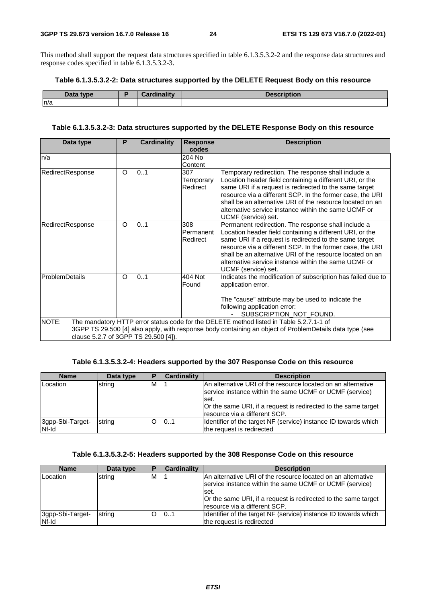This method shall support the request data structures specified in table 6.1.3.5.3.2-2 and the response data structures and response codes specified in table 6.1.3.5.3.2-3.

#### **Table 6.1.3.5.3.2-2: Data structures supported by the DELETE Request Body on this resource**

| 7515<br>tync<br>$-$ | 1980 and 1980 and | $-11 - 12$<br><b>IDUUIL</b><br>poser |
|---------------------|-------------------|--------------------------------------|
| n/a                 |                   |                                      |

#### **Table 6.1.3.5.3.2-3: Data structures supported by the DELETE Response Body on this resource**

| Data type                                     | P       | <b>Cardinality</b> | <b>Response</b><br>codes     | <b>Description</b>                                                                                                                                                                                                                                                                                                                                                                 |
|-----------------------------------------------|---------|--------------------|------------------------------|------------------------------------------------------------------------------------------------------------------------------------------------------------------------------------------------------------------------------------------------------------------------------------------------------------------------------------------------------------------------------------|
| n/a                                           |         |                    | 204 No<br>Content            |                                                                                                                                                                                                                                                                                                                                                                                    |
| RedirectResponse                              | $\circ$ | 01                 | 307<br>Temporary<br>Redirect | Temporary redirection. The response shall include a<br>Location header field containing a different URI, or the<br>same URI if a request is redirected to the same target<br>resource via a different SCP. In the former case, the URI<br>shall be an alternative URI of the resource located on an<br>alternative service instance within the same UCMF or<br>UCMF (service) set. |
| RedirectResponse                              | $\circ$ | 01                 | 308<br>Permanent<br>Redirect | Permanent redirection. The response shall include a<br>Location header field containing a different URI, or the<br>same URI if a request is redirected to the same target<br>resource via a different SCP. In the former case, the URI<br>shall be an alternative URI of the resource located on an<br>alternative service instance within the same UCMF or<br>UCMF (service) set. |
| ProblemDetails                                | $\circ$ | 0.1                | 404 Not<br>Found             | Indicates the modification of subscription has failed due to<br>application error.<br>The "cause" attribute may be used to indicate the<br>following application error:<br>SUBSCRIPTION_NOT_FOUND.                                                                                                                                                                                 |
| NOTE:<br>clause 5.2.7 of 3GPP TS 29.500 [4]). |         |                    |                              | The mandatory HTTP error status code for the DELETE method listed in Table 5.2.7.1-1 of<br>3GPP TS 29.500 [4] also apply, with response body containing an object of ProblemDetails data type (see                                                                                                                                                                                 |

#### **Table 6.1.3.5.3.2-4: Headers supported by the 307 Response Code on this resource**

| <b>Name</b>      | Data type | P | Cardinality | <b>Description</b>                                                                                                                                                                                                                   |
|------------------|-----------|---|-------------|--------------------------------------------------------------------------------------------------------------------------------------------------------------------------------------------------------------------------------------|
| Location         | string    | м |             | An alternative URI of the resource located on an alternative<br>service instance within the same UCMF or UCMF (service)<br>lset.<br>Or the same URI, if a request is redirected to the same target<br>Iresource via a different SCP. |
| 3gpp-Sbi-Target- | string    | O | 10.1        | Identifier of the target NF (service) instance ID towards which                                                                                                                                                                      |
| Nf-Id            |           |   |             | the request is redirected                                                                                                                                                                                                            |

#### **Table 6.1.3.5.3.2-5: Headers supported by the 308 Response Code on this resource**

| <b>Name</b>               | Data type | Ð | <b>Cardinality</b> | <b>Description</b>                                                                                                                                                                                                                   |
|---------------------------|-----------|---|--------------------|--------------------------------------------------------------------------------------------------------------------------------------------------------------------------------------------------------------------------------------|
| Location                  | string    | м |                    | IAn alternative URI of the resource located on an alternative<br>service instance within the same UCMF or UCMF (service)<br>set.<br>Or the same URI, if a request is redirected to the same target<br>Iresource via a different SCP. |
| 3gpp-Sbi-Target-<br>Nf-Id | string    |   | 101                | Identifier of the target NF (service) instance ID towards which<br>the request is redirected                                                                                                                                         |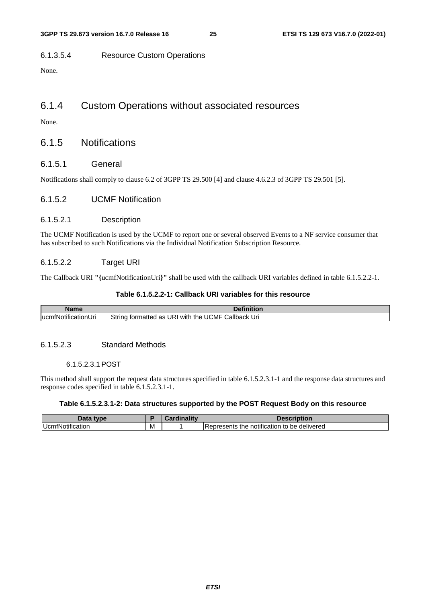#### 6.1.3.5.4 Resource Custom Operations

None.

### 6.1.4 Custom Operations without associated resources

None.

### 6.1.5 Notifications

#### 6.1.5.1 General

Notifications shall comply to clause 6.2 of 3GPP TS 29.500 [4] and clause 4.6.2.3 of 3GPP TS 29.501 [5].

#### 6.1.5.2 UCMF Notification

#### 6.1.5.2.1 Description

The UCMF Notification is used by the UCMF to report one or several observed Events to a NF service consumer that has subscribed to such Notifications via the Individual Notification Subscription Resource.

#### 6.1.5.2.2 Target URI

The Callback URI **"{**ucmfNotificationUri**}"** shall be used with the callback URI variables defined in table 6.1.5.2.2-1.

#### **Table 6.1.5.2.2-1: Callback URI variables for this resource**

| Name                       | <b>Pefinition</b>                                                           |
|----------------------------|-----------------------------------------------------------------------------|
| iNotificationUri<br>lucmf. | Callback<br>UCMF<br>Strina<br>URI<br>⊧ the<br>formatted as l<br>Uri<br>with |

#### 6.1.5.2.3 Standard Methods

#### 6.1.5.2.3.1 POST

This method shall support the request data structures specified in table 6.1.5.2.3.1-1 and the response data structures and response codes specified in table 6.1.5.2.3.1-1.

#### **Table 6.1.5.2.3.1-2: Data structures supported by the POST Request Body on this resource**

|            |   | والمترافية والمستراة المتحدة | .                                                          |
|------------|---|------------------------------|------------------------------------------------------------|
| ™ot⊞cation | м |                              | delivered<br>be<br>'epresents<br>notification<br>the<br>to |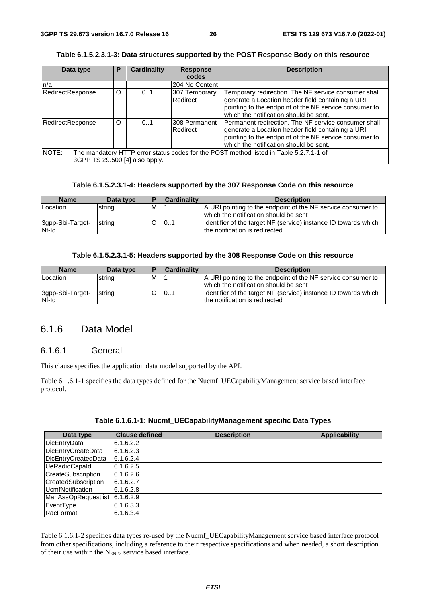|  |  | Table 6.1.5.2.3.1-3: Data structures supported by the POST Response Body on this resource |
|--|--|-------------------------------------------------------------------------------------------|
|--|--|-------------------------------------------------------------------------------------------|

| Data type                               | Р | <b>Cardinality</b> | <b>Response</b>           | <b>Description</b>                                                                                                                                                                                            |
|-----------------------------------------|---|--------------------|---------------------------|---------------------------------------------------------------------------------------------------------------------------------------------------------------------------------------------------------------|
|                                         |   |                    | codes                     |                                                                                                                                                                                                               |
| n/a                                     |   |                    | 204 No Content            |                                                                                                                                                                                                               |
| RedirectResponse                        | O | 0.1                | 307 Temporary<br>Redirect | Temporary redirection. The NF service consumer shall<br>generate a Location header field containing a URI<br>pointing to the endpoint of the NF service consumer to<br>which the notification should be sent. |
| RedirectResponse                        | O | 0.1                | 308 Permanent<br>Redirect | Permanent redirection. The NF service consumer shall<br>generate a Location header field containing a URI<br>pointing to the endpoint of the NF service consumer to<br>which the notification should be sent. |
| NOTE:<br>3GPP TS 29.500 [4] also apply. |   |                    |                           | The mandatory HTTP error status codes for the POST method listed in Table 5.2.7.1-1 of                                                                                                                        |

#### **Table 6.1.5.2.3.1-4: Headers supported by the 307 Response Code on this resource**

| <b>Name</b>               | Data type | E | <b>Cardinality</b> | <b>Description</b>                                                                                    |
|---------------------------|-----------|---|--------------------|-------------------------------------------------------------------------------------------------------|
| Location                  | string    | м |                    | A URI pointing to the endpoint of the NF service consumer to<br>which the notification should be sent |
| 3gpp-Sbi-Target-<br>Nf-Id | string    |   | 10.1               | Identifier of the target NF (service) instance ID towards which<br>the notification is redirected     |

#### **Table 6.1.5.2.3.1-5: Headers supported by the 308 Response Code on this resource**

| <b>Name</b>               | Data type | Ð | <b>Cardinality</b> | <b>Description</b>                                                                                    |
|---------------------------|-----------|---|--------------------|-------------------------------------------------------------------------------------------------------|
| <b>Location</b>           | string    | м |                    | A URI pointing to the endpoint of the NF service consumer to<br>which the notification should be sent |
| 3gpp-Sbi-Target-<br>Nf-Id | string    |   | 101                | Identifier of the target NF (service) instance ID towards which<br>the notification is redirected     |

### 6.1.6 Data Model

### 6.1.6.1 General

This clause specifies the application data model supported by the API.

Table 6.1.6.1-1 specifies the data types defined for the Nucmf\_UECapabilityManagement service based interface protocol.

| Table 6.1.6.1-1: Nucmf_UECapabilityManagement specific Data Types |  |  |  |
|-------------------------------------------------------------------|--|--|--|
|-------------------------------------------------------------------|--|--|--|

| Data type                 | <b>Clause defined</b> | <b>Description</b> | <b>Applicability</b> |
|---------------------------|-----------------------|--------------------|----------------------|
| DicEntryData              | 6.1.6.2.2             |                    |                      |
| DicEntryCreateData        | 6.1.6.2.3             |                    |                      |
| DicEntryCreatedData       | 6.1.6.2.4             |                    |                      |
| <b>UeRadioCapaId</b>      | 6.1.6.2.5             |                    |                      |
| <b>CreateSubscription</b> | 6.1.6.2.6             |                    |                      |
| CreatedSubscription       | 6.1.6.2.7             |                    |                      |
| <b>UcmfNotification</b>   | 6.1.6.2.8             |                    |                      |
| ManAssOpRequestlist       | 6.1.6.2.9             |                    |                      |
| EventType                 | 6.1.6.3.3             |                    |                      |
| RacFormat                 | 6.1.6.3.4             |                    |                      |

Table 6.1.6.1-2 specifies data types re-used by the Nucmf\_UECapabilityManagement service based interface protocol from other specifications, including a reference to their respective specifications and when needed, a short description of their use within the N<sub><NF></sub> service based interface.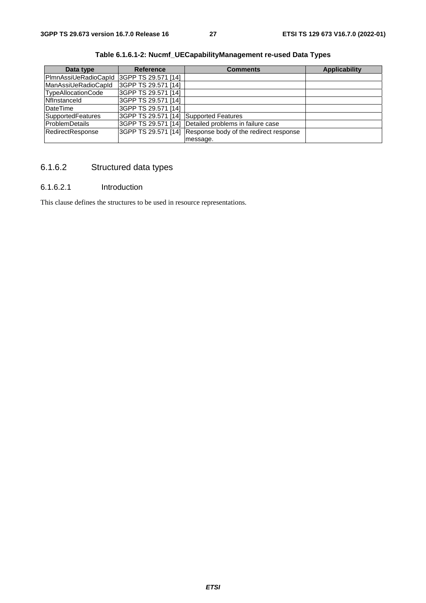| Data type            | <b>Reference</b>                       | <b>Comments</b>                                            | <b>Applicability</b> |
|----------------------|----------------------------------------|------------------------------------------------------------|----------------------|
| PImnAssiUeRadioCapId | 3GPP TS 29.571 [14]                    |                                                            |                      |
| ManAssiUeRadioCapId  | 3GPP TS 29.571 [14]                    |                                                            |                      |
| TypeAllocationCode   | 3GPP TS 29.571 [14]                    |                                                            |                      |
| Nflnstanceld         | 3GPP TS 29.571 [14]                    |                                                            |                      |
| DateTime             | 3GPP TS 29.571 [14]                    |                                                            |                      |
| SupportedFeatures    | 3GPP TS 29.571 [14] Supported Features |                                                            |                      |
| ProblemDetails       |                                        | 3GPP TS 29.571 [14] Detailed problems in failure case      |                      |
| RedirectResponse     |                                        | 3GPP TS 29.571 [14] Response body of the redirect response |                      |
|                      |                                        | message.                                                   |                      |

**Table 6.1.6.1-2: Nucmf\_UECapabilityManagement re-used Data Types** 

## 6.1.6.2 Structured data types

#### 6.1.6.2.1 Introduction

This clause defines the structures to be used in resource representations.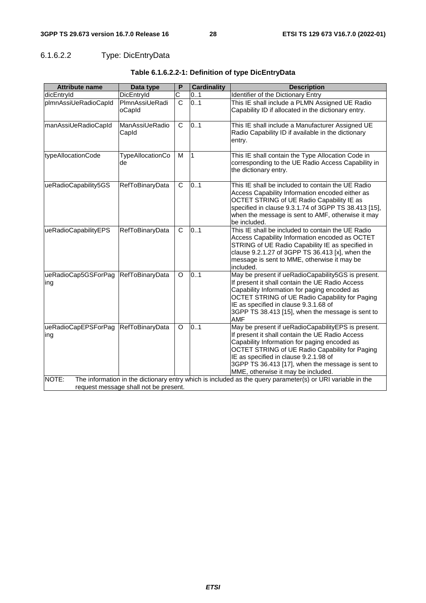## 6.1.6.2.2 Type: DicEntryData

| <b>Attribute name</b>      | Data type                             | P                     | <b>Cardinality</b> | <b>Description</b>                                                                                                                                                                                                                                                                                                                         |
|----------------------------|---------------------------------------|-----------------------|--------------------|--------------------------------------------------------------------------------------------------------------------------------------------------------------------------------------------------------------------------------------------------------------------------------------------------------------------------------------------|
| dicEntryId                 | DicEntryId                            | $\overline{\text{c}}$ | 0.1                | Identifier of the Dictionary Entry                                                                                                                                                                                                                                                                                                         |
| plmnAssiUeRadioCapId       | PImnAssiUeRadi<br>oCapId              | $\overline{c}$        | 0.1                | This IE shall include a PLMN Assigned UE Radio<br>Capability ID if allocated in the dictionary entry.                                                                                                                                                                                                                                      |
| manAssiUeRadioCapId        | ManAssiUeRadio<br>CapId               | C                     | 01                 | This IE shall include a Manufacturer Assigned UE<br>Radio Capability ID if available in the dictionary<br>entry.                                                                                                                                                                                                                           |
| typeAllocationCode         | <b>TypeAllocationCo</b><br>de         | M                     | $\overline{1}$     | This IE shall contain the Type Allocation Code in<br>corresponding to the UE Radio Access Capability in<br>the dictionary entry.                                                                                                                                                                                                           |
| ueRadioCapability5GS       | RefToBinaryData                       | C                     | 0.1                | This IE shall be included to contain the UE Radio<br>Access Capability Information encoded either as<br>OCTET STRING of UE Radio Capability IE as<br>specified in clause 9.3.1.74 of 3GPP TS 38.413 [15],<br>when the message is sent to AMF, otherwise it may<br>be included.                                                             |
| ueRadioCapabilityEPS       | RefToBinaryData                       | $\overline{C}$        | 0.1                | This IE shall be included to contain the UE Radio<br>Access Capability Information encoded as OCTET<br>STRING of UE Radio Capability IE as specified in<br>clause 9.2.1.27 of 3GPP TS 36.413 [x], when the<br>message is sent to MME, otherwise it may be<br>included.                                                                     |
| ueRadioCap5GSForPag<br>ing | <b>RefToBinaryData</b>                | O                     | 0.1                | May be present if ueRadioCapability5GS is present.<br>If present it shall contain the UE Radio Access<br>Capability Information for paging encoded as<br>OCTET STRING of UE Radio Capability for Paging<br>IE as specified in clause 9.3.1.68 of<br>3GPP TS 38.413 [15], when the message is sent to<br><b>AMF</b>                         |
| ueRadioCapEPSForPag<br>ing | <b>RefToBinaryData</b>                | O                     | 0.1                | May be present if ueRadioCapabilityEPS is present.<br>If present it shall contain the UE Radio Access<br>Capability Information for paging encoded as<br>OCTET STRING of UE Radio Capability for Paging<br>IE as specified in clause 9.2.1.98 of<br>3GPP TS 36.413 [17], when the message is sent to<br>MME, otherwise it may be included. |
| NOTE:                      | request message shall not be present. |                       |                    | The information in the dictionary entry which is included as the query parameter(s) or URI variable in the                                                                                                                                                                                                                                 |
|                            |                                       |                       |                    |                                                                                                                                                                                                                                                                                                                                            |

### **Table 6.1.6.2.2-1: Definition of type DicEntryData**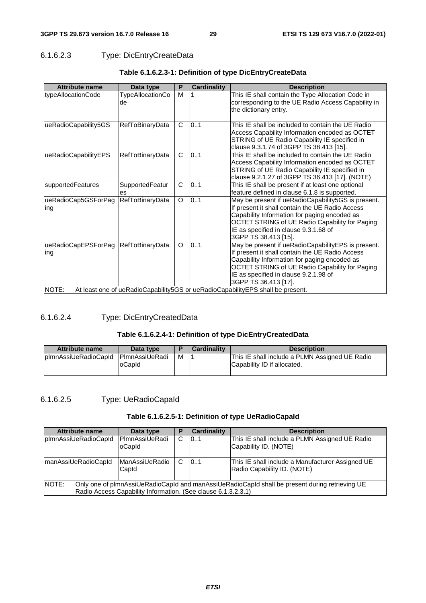### 6.1.6.2.3 Type: DicEntryCreateData

| <b>Attribute name</b>                      | Data type              | P            | <b>Cardinality</b> | <b>Description</b>                                                                                                                                                                                                                                                       |
|--------------------------------------------|------------------------|--------------|--------------------|--------------------------------------------------------------------------------------------------------------------------------------------------------------------------------------------------------------------------------------------------------------------------|
| typeAllocationCode                         | TypeAllocationCo<br>de | M            |                    | This IE shall contain the Type Allocation Code in<br>corresponding to the UE Radio Access Capability in<br>the dictionary entry.                                                                                                                                         |
| ueRadioCapability5GS                       | RefToBinaryData        | $\mathsf{C}$ | 101                | This IE shall be included to contain the UE Radio<br>Access Capability Information encoded as OCTET<br>STRING of UE Radio Capability IE specified in<br>clause 9.3.1.74 of 3GPP TS 38.413 [15].                                                                          |
| ueRadioCapabilityEPS                       | <b>RefToBinaryData</b> | C            | 0.1                | This IE shall be included to contain the UE Radio<br>Access Capability Information encoded as OCTET<br>STRING of UE Radio Capability IE specified in<br>clause 9.2.1.27 of 3GPP TS 36.413 [17]. (NOTE)                                                                   |
| supportedFeatures                          | SupportedFeatur<br>es  | $\mathsf{C}$ | 0.1                | This IE shall be present if at least one optional<br>feature defined in clause 6.1.8 is supported.                                                                                                                                                                       |
| ueRadioCap5GSForPag<br>ing                 | <b>RefToBinaryData</b> | $\circ$      | 0.1                | May be present if ueRadioCapability5GS is present.<br>If present it shall contain the UE Radio Access<br>Capability Information for paging encoded as<br>OCTET STRING of UE Radio Capability for Paging<br>IE as specified in clause 9.3.1.68 of<br>3GPP TS 38.413 [15]. |
| ueRadioCapEPSForPag RefToBinaryData<br>ing |                        | O            | 0.1                | May be present if ueRadioCapabilityEPS is present.<br>If present it shall contain the UE Radio Access<br>Capability Information for paging encoded as<br>OCTET STRING of UE Radio Capability for Paging<br>IE as specified in clause 9.2.1.98 of<br>3GPP TS 36.413 [17]. |
| NOTE:                                      |                        |              |                    | At least one of ueRadioCapability5GS or ueRadioCapabilityEPS shall be present.                                                                                                                                                                                           |

#### **Table 6.1.6.2.3-1: Definition of type DicEntryCreateData**

#### 6.1.6.2.4 Type: DicEntryCreatedData

#### **Table 6.1.6.2.4-1: Definition of type DicEntryCreatedData**

| Attribute name        | Data type             |   | <b>Cardinality</b> | <b>Description</b>                             |
|-----------------------|-----------------------|---|--------------------|------------------------------------------------|
| IplmnAssiUeRadioCapId | <b>PlmnAssiUeRadi</b> | м |                    | This IE shall include a PLMN Assigned UE Radio |
|                       | loCapid               |   |                    | Capability ID if allocated.                    |
|                       |                       |   |                    |                                                |

### 6.1.6.2.5 Type: UeRadioCapaId

#### **Table 6.1.6.2.5-1: Definition of type UeRadioCapaId**

| <b>Attribute name</b>                                                                                                                                                     | Data type                 | Р | Cardinality                                      | <b>Description</b>                                                      |  |
|---------------------------------------------------------------------------------------------------------------------------------------------------------------------------|---------------------------|---|--------------------------------------------------|-------------------------------------------------------------------------|--|
| plmnAssiUeRadioCapId                                                                                                                                                      | lPlmnAssiUeRadi<br>oCapid | C | 101                                              | This IE shall include a PLMN Assigned UE Radio<br>Capability ID. (NOTE) |  |
| <b>ManAssiUeRadio</b><br>C<br>101<br>manAssiUeRadioCapId<br>Radio Capability ID. (NOTE)<br>Capld                                                                          |                           |   | This IE shall include a Manufacturer Assigned UE |                                                                         |  |
| INOTE:<br>Only one of plmnAssiUeRadioCapId and manAssiUeRadioCapId shall be present during retrieving UE<br>Radio Access Capability Information. (See clause 6.1.3.2.3.1) |                           |   |                                                  |                                                                         |  |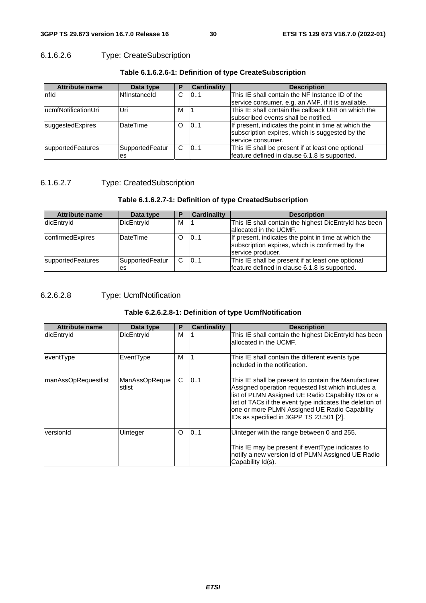### 6.1.6.2.6 Type: CreateSubscription

| <b>Attribute name</b> | Data type           | Р  | <b>Cardinality</b> | <b>Description</b>                                   |
|-----------------------|---------------------|----|--------------------|------------------------------------------------------|
| Infld                 | <b>Nflnstanceld</b> | C. | 101                | This IE shall contain the NF Instance ID of the      |
|                       |                     |    |                    | service consumer, e.g. an AMF, if it is available.   |
| lucmfNotificationUri  | Uri                 | м  |                    | This IE shall contain the callback URI on which the  |
|                       |                     |    |                    | subscribed events shall be notified.                 |
| suggestedExpires      | <b>DateTime</b>     | ∩  | 0.1                | If present, indicates the point in time at which the |
|                       |                     |    |                    | subscription expires, which is suggested by the      |
|                       |                     |    |                    | service consumer.                                    |
| supportedFeatures     | SupportedFeatur     | C. | 101                | This IE shall be present if at least one optional    |
|                       | es                  |    |                    | feature defined in clause 6.1.8 is supported.        |

#### **Table 6.1.6.2.6-1: Definition of type CreateSubscription**

### 6.1.6.2.7 Type: CreatedSubscription

#### **Table 6.1.6.2.7-1: Definition of type CreatedSubscription**

| <b>Attribute name</b> | Data type       | D | <b>Cardinality</b> | <b>Description</b>                                                                                                           |
|-----------------------|-----------------|---|--------------------|------------------------------------------------------------------------------------------------------------------------------|
| dicEntryId            | DicEntryId      | M |                    | This IE shall contain the highest DicEntryld has been                                                                        |
|                       |                 |   |                    | lallocated in the UCMF.                                                                                                      |
| confirmedExpires      | <b>DateTime</b> | O | 101                | If present, indicates the point in time at which the<br>subscription expires, which is confirmed by the<br>service producer. |
| supportedFeatures     | SupportedFeatur | C | 101                | This IE shall be present if at least one optional                                                                            |
|                       | es              |   |                    | feature defined in clause 6.1.8 is supported.                                                                                |

### 6.2.6.2.8 Type: UcmfNotification

#### **Table 6.2.6.2.8-1: Definition of type UcmfNotification**

| <b>Attribute name</b> | Data type                      | P       | <b>Cardinality</b> | <b>Description</b>                                                                                                                                                                                                                                                                                                       |
|-----------------------|--------------------------------|---------|--------------------|--------------------------------------------------------------------------------------------------------------------------------------------------------------------------------------------------------------------------------------------------------------------------------------------------------------------------|
| dicEntryId            | DicEntryId                     | м       |                    | This IE shall contain the highest DicEntryld has been<br>allocated in the UCMF.                                                                                                                                                                                                                                          |
| eventType             | EventType                      | м       |                    | This IE shall contain the different events type<br>included in the notification.                                                                                                                                                                                                                                         |
| manAssOpRequestlist   | <b>ManAssOpReque</b><br>stlist | C.      | 101                | This IE shall be present to contain the Manufacturer<br>Assigned operation requested list which includes a<br>list of PLMN Assigned UE Radio Capability IDs or a<br>list of TACs if the event type indicates the deletion of<br>one or more PLMN Assigned UE Radio Capability<br>IDs as specified in 3GPP TS 23.501 [2]. |
| versionId             | Uinteger                       | $\circ$ | 0.1                | Uinteger with the range between 0 and 255.<br>This IE may be present if event Type indicates to<br>notify a new version id of PLMN Assigned UE Radio<br>Capability Id(s).                                                                                                                                                |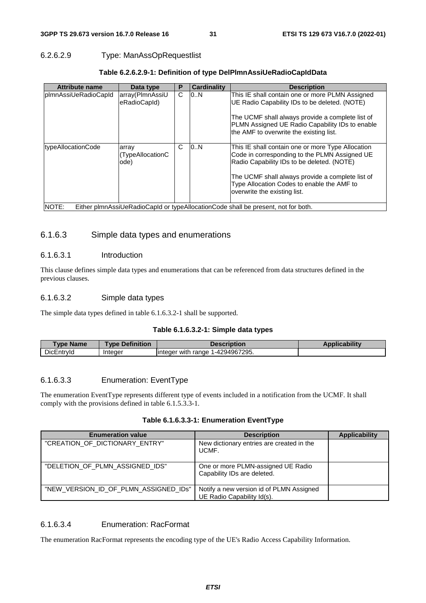#### 6.2.6.2.9 Type: ManAssOpRequestlist

| <b>Attribute name</b> | Data type                         | Р | <b>Cardinality</b> | <b>Description</b>                                                                                                                               |
|-----------------------|-----------------------------------|---|--------------------|--------------------------------------------------------------------------------------------------------------------------------------------------|
| plmnAssiUeRadioCapId  | array(PlmnAssiU<br>eRadioCapId)   | C | 10N                | This IE shall contain one or more PLMN Assigned<br>UE Radio Capability IDs to be deleted. (NOTE)                                                 |
|                       |                                   |   |                    | The UCMF shall always provide a complete list of<br>PLMN Assigned UE Radio Capability IDs to enable<br>the AMF to overwrite the existing list.   |
| typeAllocationCode    | array<br>(TypeAllocationC<br>ode) | C | 0.N                | This IE shall contain one or more Type Allocation<br>Code in corresponding to the PLMN Assigned UE<br>Radio Capability IDs to be deleted. (NOTE) |
|                       |                                   |   |                    | The UCMF shall always provide a complete list of<br>Type Allocation Codes to enable the AMF to<br>overwrite the existing list.                   |
| NOTE:                 |                                   |   |                    | Either plmnAssiUeRadioCapId or typeAllocationCode shall be present, not for both.                                                                |

#### **Table 6.2.6.2.9-1: Definition of type DelPlmnAssiUeRadioCapIdData**

#### 6.1.6.3 Simple data types and enumerations

#### 6.1.6.3.1 Introduction

This clause defines simple data types and enumerations that can be referenced from data structures defined in the previous clauses.

#### 6.1.6.3.2 Simple data types

The simple data types defined in table 6.1.6.3.2-1 shall be supported.

#### **Table 6.1.6.3.2-1: Simple data types**

| <b>Type Name</b> | <b>Definition</b><br><b>Type</b> | Description                                | <b>Applicability</b> |
|------------------|----------------------------------|--------------------------------------------|----------------------|
| DicEntryId       | Integer                          | 1-4294967295.<br>with<br>range<br>iinteaer |                      |

#### 6.1.6.3.3 Enumeration: EventType

The enumeration EventType represents different type of events included in a notification from the UCMF. It shall comply with the provisions defined in table 6.1.5.3.3-1.

#### **Table 6.1.6.3.3-1: Enumeration EventType**

| <b>Enumeration value</b>              | <b>Description</b>                                                     | <b>Applicability</b> |
|---------------------------------------|------------------------------------------------------------------------|----------------------|
| "CREATION OF DICTIONARY ENTRY"        | New dictionary entries are created in the<br>UCMF.                     |                      |
| "DELETION OF PLMN ASSIGNED IDS"       | One or more PLMN-assigned UE Radio<br>Capability IDs are deleted.      |                      |
| "NEW_VERSION_ID_OF_PLMN_ASSIGNED_IDs" | Notify a new version id of PLMN Assigned<br>UE Radio Capability Id(s). |                      |

#### 6.1.6.3.4 Enumeration: RacFormat

The enumeration RacFormat represents the encoding type of the UE's Radio Access Capability Information.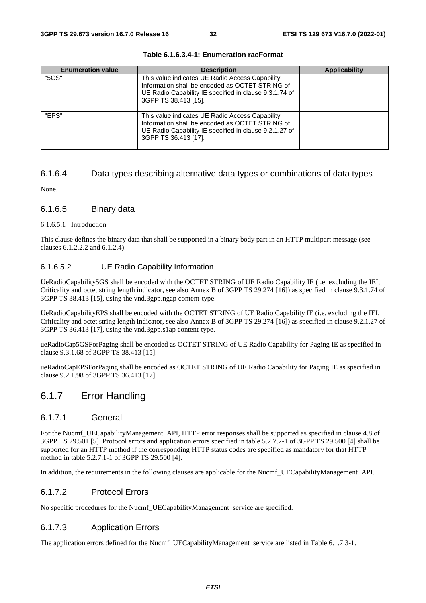| <b>Enumeration value</b> | <b>Description</b>                                                                                                                                                                   | <b>Applicability</b> |
|--------------------------|--------------------------------------------------------------------------------------------------------------------------------------------------------------------------------------|----------------------|
| "5GS"                    | This value indicates UE Radio Access Capability<br>Information shall be encoded as OCTET STRING of<br>UE Radio Capability IE specified in clause 9.3.1.74 of<br>3GPP TS 38.413 [15]. |                      |
| "FPS"                    | This value indicates UE Radio Access Capability<br>Information shall be encoded as OCTET STRING of<br>UE Radio Capability IE specified in clause 9.2.1.27 of<br>3GPP TS 36.413 [17]. |                      |

#### **Table 6.1.6.3.4-1: Enumeration racFormat**

#### 6.1.6.4 Data types describing alternative data types or combinations of data types

None.

#### 6.1.6.5 Binary data

#### 6.1.6.5.1 Introduction

This clause defines the binary data that shall be supported in a binary body part in an HTTP multipart message (see clauses 6.1.2.2.2 and 6.1.2.4).

#### 6.1.6.5.2 UE Radio Capability Information

UeRadioCapability5GS shall be encoded with the OCTET STRING of UE Radio Capability IE (i.e. excluding the IEI, Criticality and octet string length indicator, see also Annex B of 3GPP TS 29.274 [16]) as specified in clause 9.3.1.74 of 3GPP TS 38.413 [15], using the vnd.3gpp.ngap content-type.

UeRadioCapabilityEPS shall be encoded with the OCTET STRING of UE Radio Capability IE (i.e. excluding the IEI, Criticality and octet string length indicator, see also Annex B of 3GPP TS 29.274 [16]) as specified in clause 9.2.1.27 of 3GPP TS 36.413 [17], using the vnd.3gpp.s1ap content-type.

ueRadioCap5GSForPaging shall be encoded as OCTET STRING of UE Radio Capability for Paging IE as specified in clause 9.3.1.68 of 3GPP TS 38.413 [15].

ueRadioCapEPSForPaging shall be encoded as OCTET STRING of UE Radio Capability for Paging IE as specified in clause 9.2.1.98 of 3GPP TS 36.413 [17].

## 6.1.7 Error Handling

#### 6.1.7.1 General

For the Nucmf\_UECapabilityManagement API, HTTP error responses shall be supported as specified in clause 4.8 of 3GPP TS 29.501 [5]. Protocol errors and application errors specified in table 5.2.7.2-1 of 3GPP TS 29.500 [4] shall be supported for an HTTP method if the corresponding HTTP status codes are specified as mandatory for that HTTP method in table 5.2.7.1-1 of 3GPP TS 29.500 [4].

In addition, the requirements in the following clauses are applicable for the Nucmf\_UECapabilityManagement API.

#### 6.1.7.2 Protocol Errors

No specific procedures for the Nucmf\_UECapabilityManagement service are specified.

#### 6.1.7.3 Application Errors

The application errors defined for the Nucmf\_UECapabilityManagement service are listed in Table 6.1.7.3-1.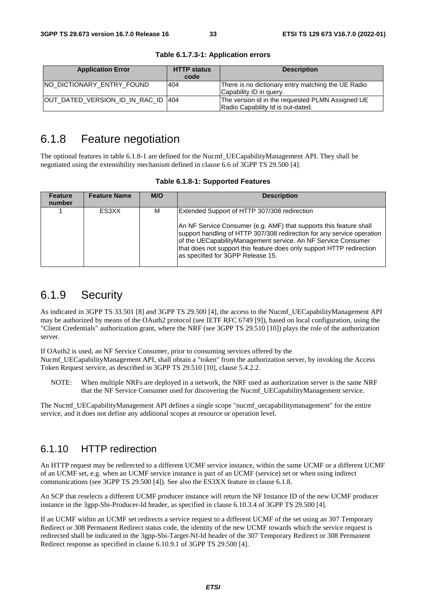| <b>Application Error</b>           | <b>HTTP status</b><br>code | <b>Description</b>                                                                    |
|------------------------------------|----------------------------|---------------------------------------------------------------------------------------|
| INO DICTIONARY ENTRY FOUND         | 404                        | There is no dictionary entry matching the UE Radio<br>Capability ID in query.         |
| OUT DATED VERSION ID IN RAC ID 404 |                            | The version id in the requested PLMN Assigned UE<br>Radio Capability Id is out-dated. |

**Table 6.1.7.3-1: Application errors** 

## 6.1.8 Feature negotiation

The optional features in table 6.1.8-1 are defined for the Nucmf\_UECapabilityManagement API. They shall be negotiated using the extensibility mechanism defined in clause 6.6 of 3GPP TS 29.500 [4].

| <b>Feature</b><br>number | <b>Feature Name</b> | M/O | <b>Description</b>                                                                                                                                                                                                                                                                                                          |
|--------------------------|---------------------|-----|-----------------------------------------------------------------------------------------------------------------------------------------------------------------------------------------------------------------------------------------------------------------------------------------------------------------------------|
|                          | ES3XX               | м   | Extended Support of HTTP 307/308 redirection                                                                                                                                                                                                                                                                                |
|                          |                     |     | An NF Service Consumer (e.g. AMF) that supports this feature shall<br>support handling of HTTP 307/308 redirection for any service operation<br>of the UECapabilityManagement service. An NF Service Consumer<br>that does not support this feature does only support HTTP redirection<br>as specified for 3GPP Release 15. |

## 6.1.9 Security

As indicated in 3GPP TS 33.501 [8] and 3GPP TS 29.500 [4], the access to the Nucmf\_UECapabilityManagement API may be authorized by means of the OAuth2 protocol (see IETF RFC 6749 [9]), based on local configuration, using the "Client Credentials" authorization grant, where the NRF (see 3GPP TS 29.510 [10]) plays the role of the authorization server.

If OAuth2 is used, an NF Service Consumer, prior to consuming services offered by the Nucmf\_UECapabilityManagement API, shall obtain a "token" from the authorization server, by invoking the Access Token Request service, as described in 3GPP TS 29.510 [10], clause 5.4.2.2.

NOTE: When multiple NRFs are deployed in a network, the NRF used as authorization server is the same NRF that the NF Service Consumer used for discovering the Nucmf\_UECapabilityManagement service.

The Nucmf UECapabilityManagement API defines a single scope "nucmf uecapabilitymanagement" for the entire service, and it does not define any additional scopes at resource or operation level.

### 6.1.10 HTTP redirection

An HTTP request may be redirected to a different UCMF service instance, within the same UCMF or a different UCMF of an UCMF set, e.g. when an UCMF service instance is part of an UCMF (service) set or when using indirect communications (see 3GPP TS 29.500 [4]). See also the ES3XX feature in clause 6.1.8.

An SCP that reselects a different UCMF producer instance will return the NF Instance ID of the new UCMF producer instance in the 3gpp-Sbi-Producer-Id header, as specified in clause 6.10.3.4 of 3GPP TS 29.500 [4].

If an UCMF within an UCMF set redirects a service request to a different UCMF of the set using an 307 Temporary Redirect or 308 Permanent Redirect status code, the identity of the new UCMF towards which the service request is redirected shall be indicated in the 3gpp-Sbi-Target-Nf-Id header of the 307 Temporary Redirect or 308 Permanent Redirect response as specified in clause 6.10.9.1 of 3GPP TS 29.500 [4].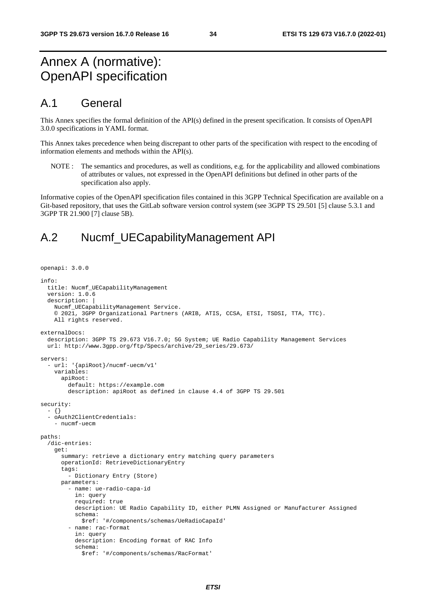## Annex A (normative): OpenAPI specification

## A.1 General

This Annex specifies the formal definition of the API(s) defined in the present specification. It consists of OpenAPI 3.0.0 specifications in YAML format.

This Annex takes precedence when being discrepant to other parts of the specification with respect to the encoding of information elements and methods within the API(s).

NOTE : The semantics and procedures, as well as conditions, e.g. for the applicability and allowed combinations of attributes or values, not expressed in the OpenAPI definitions but defined in other parts of the specification also apply.

Informative copies of the OpenAPI specification files contained in this 3GPP Technical Specification are available on a Git-based repository, that uses the GitLab software version control system (see 3GPP TS 29.501 [5] clause 5.3.1 and 3GPP TR 21.900 [7] clause 5B).

## A.2 Nucmf\_UECapabilityManagement API

```
openapi: 3.0.0 
info: 
   title: Nucmf_UECapabilityManagement 
   version: 1.0.6 
   description: | 
     Nucmf_UECapabilityManagement Service. 
     © 2021, 3GPP Organizational Partners (ARIB, ATIS, CCSA, ETSI, TSDSI, TTA, TTC). 
    All rights reserved.
externalDocs: 
   description: 3GPP TS 29.673 V16.7.0; 5G System; UE Radio Capability Management Services 
   url: http://www.3gpp.org/ftp/Specs/archive/29_series/29.673/ 
servers: 
   - url: '{apiRoot}/nucmf-uecm/v1' 
     variables: 
       apiRoot: 
         default: https://example.com 
         description: apiRoot as defined in clause 4.4 of 3GPP TS 29.501 
security: 
   - {} 
   - oAuth2ClientCredentials: 
     - nucmf-uecm 
paths: 
   /dic-entries: 
     get: 
       summary: retrieve a dictionary entry matching query parameters 
       operationId: RetrieveDictionaryEntry 
       tags: 
          - Dictionary Entry (Store) 
       parameters: 
          - name: ue-radio-capa-id 
           in: query 
           required: true 
           description: UE Radio Capability ID, either PLMN Assigned or Manufacturer Assigned 
           schema: 
             $ref: '#/components/schemas/UeRadioCapaId' 
          - name: rac-format 
            in: query 
           description: Encoding format of RAC Info 
           schema: 
              $ref: '#/components/schemas/RacFormat'
```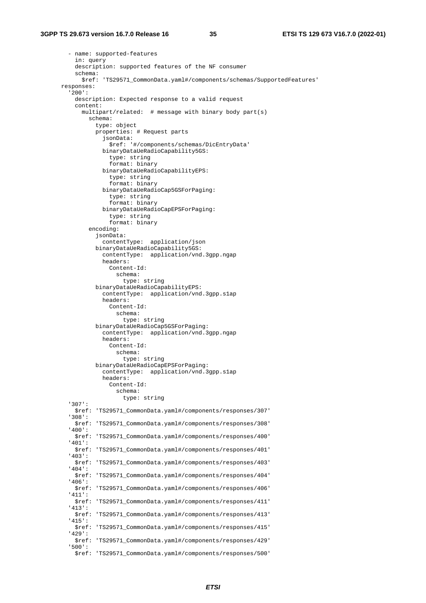```
 - name: supported-features 
     in: query 
     description: supported features of the NF consumer 
     schema: 
       $ref: 'TS29571_CommonData.yaml#/components/schemas/SupportedFeatures' 
 responses: 
   '200': 
    description: Expected response to a valid request
     content: 
       multipart/related: # message with binary body part(s) 
         schema: 
            type: object 
            properties: # Request parts 
             jsonData: 
               $ref: '#/components/schemas/DicEntryData' 
             binaryDataUeRadioCapability5GS: 
                type: string 
                format: binary 
             binaryDataUeRadioCapabilityEPS: 
                type: string 
                format: binary 
             binaryDataUeRadioCap5GSForPaging: 
                type: string 
                format: binary 
             binaryDataUeRadioCapEPSForPaging: 
                type: string 
                format: binary 
         encoding: 
            jsonData: 
              contentType: application/json 
           binaryDataUeRadioCapability5GS: 
             contentType: application/vnd.3gpp.ngap 
             headers: 
               Content-Id: 
                  schema: 
                    type: string 
            binaryDataUeRadioCapabilityEPS: 
              contentType: application/vnd.3gpp.s1ap 
             headers: 
               Content-Id: 
                  schema: 
                   type: string 
            binaryDataUeRadioCap5GSForPaging: 
              contentType: application/vnd.3gpp.ngap 
             headers: 
               Content-Id: 
                  schema: 
                    type: string 
            binaryDataUeRadioCapEPSForPaging: 
              contentType: application/vnd.3gpp.s1ap 
             headers: 
               Content-Id: 
                  schema: 
                    type: string 
   '307': 
     $ref: 'TS29571_CommonData.yaml#/components/responses/307' 
   '308': 
     $ref: 'TS29571_CommonData.yaml#/components/responses/308' 
   '400': 
     $ref: 'TS29571_CommonData.yaml#/components/responses/400' 
   '401': 
     $ref: 'TS29571_CommonData.yaml#/components/responses/401' 
   '403': 
     $ref: 'TS29571_CommonData.yaml#/components/responses/403' 
   '404': 
     $ref: 'TS29571_CommonData.yaml#/components/responses/404' 
   '406': 
     $ref: 'TS29571_CommonData.yaml#/components/responses/406' 
   '411': 
     $ref: 'TS29571_CommonData.yaml#/components/responses/411' 
   '413': 
     $ref: 'TS29571_CommonData.yaml#/components/responses/413' 
   '415': 
     $ref: 'TS29571_CommonData.yaml#/components/responses/415' 
   '429': 
     $ref: 'TS29571_CommonData.yaml#/components/responses/429' 
   '500': 
     $ref: 'TS29571_CommonData.yaml#/components/responses/500'
```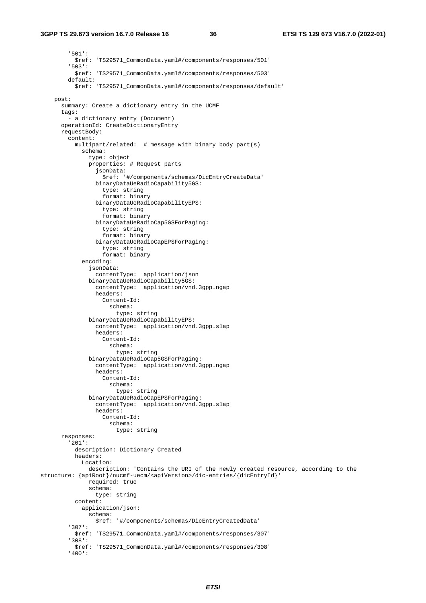#### **3GPP TS 29.673 version 16.7.0 Release 16 36 ETSI TS 129 673 V16.7.0 (2022-01)**

 '501': \$ref: 'TS29571\_CommonData.yaml#/components/responses/501' '503': \$ref: 'TS29571\_CommonData.yaml#/components/responses/503' default: \$ref: 'TS29571\_CommonData.yaml#/components/responses/default' post: summary: Create a dictionary entry in the UCMF tags: - a dictionary entry (Document) operationId: CreateDictionaryEntry requestBody: content: multipart/related: # message with binary body part(s) schema: type: object properties: # Request parts jsonData: \$ref: '#/components/schemas/DicEntryCreateData' binaryDataUeRadioCapability5GS: type: string format: binary binaryDataUeRadioCapabilityEPS: type: string format: binary binaryDataUeRadioCap5GSForPaging: type: string format: binary binaryDataUeRadioCapEPSForPaging: type: string format: binary encoding: jsonData: contentType: application/json binaryDataUeRadioCapability5GS: contentType: application/vnd.3gpp.ngap headers: Content-Id: schema: type: string binaryDataUeRadioCapabilityEPS: contentType: application/vnd.3gpp.s1ap headers: Content-Id: schema: type: string binaryDataUeRadioCap5GSForPaging: contentType: application/vnd.3gpp.ngap headers: Content-Id: schema: type: string binaryDataUeRadioCapEPSForPaging: contentType: application/vnd.3gpp.s1ap headers: Content-Id: schema: type: string responses: '201': description: Dictionary Created headers: Location: description: 'Contains the URI of the newly created resource, according to the structure: {apiRoot}/nucmf-uecm/<apiVersion>/dic-entries/{dicEntryId}' required: true schema: type: string content: application/json: schema: \$ref: '#/components/schemas/DicEntryCreatedData' '307': \$ref: 'TS29571\_CommonData.yaml#/components/responses/307' '308': \$ref: 'TS29571\_CommonData.yaml#/components/responses/308' '400':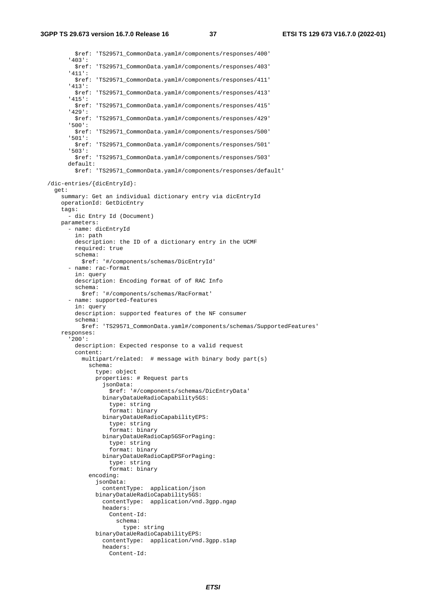\$ref: 'TS29571\_CommonData.yaml#/components/responses/400' '403': \$ref: 'TS29571\_CommonData.yaml#/components/responses/403' '411': \$ref: 'TS29571\_CommonData.yaml#/components/responses/411' '413': \$ref: 'TS29571\_CommonData.yaml#/components/responses/413' '415': \$ref: 'TS29571\_CommonData.yaml#/components/responses/415' '429': \$ref: 'TS29571\_CommonData.yaml#/components/responses/429' '500': \$ref: 'TS29571\_CommonData.yaml#/components/responses/500' '501': \$ref: 'TS29571\_CommonData.yaml#/components/responses/501' '503': \$ref: 'TS29571\_CommonData.yaml#/components/responses/503' default: \$ref: 'TS29571\_CommonData.yaml#/components/responses/default' /dic-entries/{dicEntryId}: get: summary: Get an individual dictionary entry via dicEntryId operationId: GetDicEntry tags: - dic Entry Id (Document) parameters: - name: dicEntryId in: path description: the ID of a dictionary entry in the UCMF required: true schema: \$ref: '#/components/schemas/DicEntryId' - name: rac-format in: query description: Encoding format of of RAC Info schema: \$ref: '#/components/schemas/RacFormat' - name: supported-features in: query description: supported features of the NF consumer schema: \$ref: 'TS29571\_CommonData.yaml#/components/schemas/SupportedFeatures' responses: '200': description: Expected response to a valid request content: multipart/related: # message with binary body part(s) schema: type: object properties: # Request parts jsonData: \$ref: '#/components/schemas/DicEntryData' binaryDataUeRadioCapability5GS: type: string format: binary binaryDataUeRadioCapabilityEPS: type: string format: binary binaryDataUeRadioCap5GSForPaging: type: string format: binary binaryDataUeRadioCapEPSForPaging: type: string format: binary encoding: jsonData: contentType: application/json binaryDataUeRadioCapability5GS: contentType: application/vnd.3gpp.ngap headers: Content-Id: schema: type: string binaryDataUeRadioCapabilityEPS: contentType: application/vnd.3gpp.s1ap headers: Content-Id: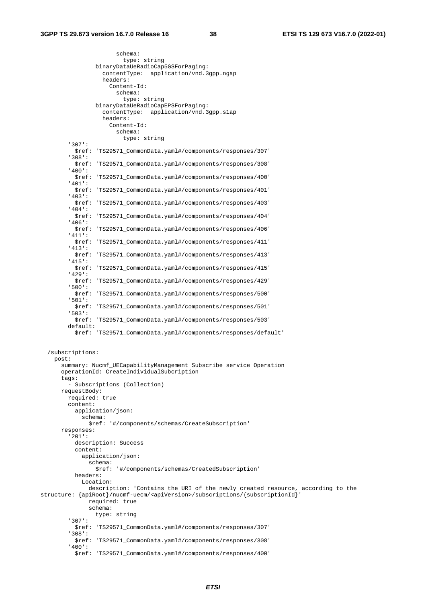schema:

```
 type: string 
                  binaryDataUeRadioCap5GSForPaging: 
                    contentType: application/vnd.3gpp.ngap 
                    headers: 
                      Content-Id: 
                        schema: 
                          type: string 
                  binaryDataUeRadioCapEPSForPaging: 
                    contentType: application/vnd.3gpp.s1ap 
                    headers: 
                      Content-Id: 
                        schema: 
                           type: string 
          '307': 
           $ref: 'TS29571_CommonData.yaml#/components/responses/307' 
          '308': 
           $ref: 'TS29571_CommonData.yaml#/components/responses/308' 
          '400': 
           $ref: 'TS29571_CommonData.yaml#/components/responses/400' 
          '401': 
           $ref: 'TS29571_CommonData.yaml#/components/responses/401' 
          '403': 
           $ref: 'TS29571_CommonData.yaml#/components/responses/403' 
          '404': 
           $ref: 'TS29571_CommonData.yaml#/components/responses/404' 
          '406': 
           $ref: 'TS29571_CommonData.yaml#/components/responses/406' 
          '411': 
           $ref: 'TS29571_CommonData.yaml#/components/responses/411' 
          '413': 
           $ref: 'TS29571_CommonData.yaml#/components/responses/413' 
          '415': 
           $ref: 'TS29571_CommonData.yaml#/components/responses/415' 
          '429': 
            $ref: 'TS29571_CommonData.yaml#/components/responses/429' 
          '500': 
           $ref: 'TS29571_CommonData.yaml#/components/responses/500' 
          '501': 
           $ref: 'TS29571_CommonData.yaml#/components/responses/501' 
          '503': 
           $ref: 'TS29571_CommonData.yaml#/components/responses/503' 
         default: 
           $ref: 'TS29571_CommonData.yaml#/components/responses/default' 
   /subscriptions: 
     post: 
       summary: Nucmf_UECapabilityManagement Subscribe service Operation 
       operationId: CreateIndividualSubcription 
       tags: 
         - Subscriptions (Collection) 
       requestBody: 
         required: true 
         content: 
           application/json: 
             schema: 
                $ref: '#/components/schemas/CreateSubscription' 
       responses: 
          '201': 
           description: Success 
           content: 
             application/json: 
                schema: 
                 $ref: '#/components/schemas/CreatedSubscription' 
           headers: 
              Location: 
               description: 'Contains the URI of the newly created resource, according to the 
structure: {apiRoot}/nucmf-uecm/<apiVersion>/subscriptions/{subscriptionId}' 
                required: true 
                schema: 
                 type: string 
          '307': 
           $ref: 'TS29571_CommonData.yaml#/components/responses/307' 
          '308': 
           $ref: 'TS29571_CommonData.yaml#/components/responses/308' 
          '400': 
           $ref: 'TS29571_CommonData.yaml#/components/responses/400'
```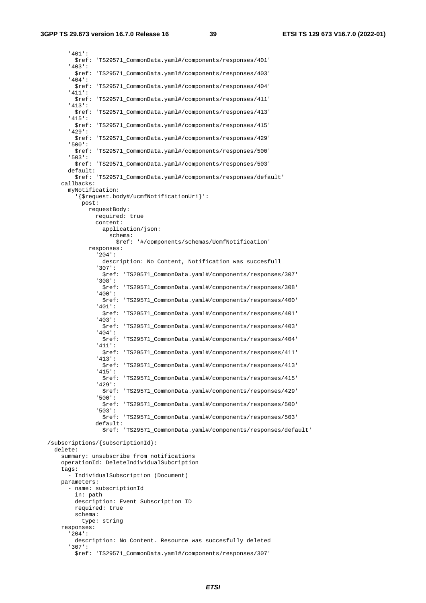'401': \$ref: 'TS29571\_CommonData.yaml#/components/responses/401' '403': \$ref: 'TS29571\_CommonData.yaml#/components/responses/403' '404': \$ref: 'TS29571\_CommonData.yaml#/components/responses/404' '411': \$ref: 'TS29571\_CommonData.yaml#/components/responses/411' '413': \$ref: 'TS29571\_CommonData.yaml#/components/responses/413' '415': \$ref: 'TS29571\_CommonData.yaml#/components/responses/415' '429': \$ref: 'TS29571\_CommonData.yaml#/components/responses/429' '500': \$ref: 'TS29571\_CommonData.yaml#/components/responses/500' '503': \$ref: 'TS29571\_CommonData.yaml#/components/responses/503' default: \$ref: 'TS29571\_CommonData.yaml#/components/responses/default' callbacks: myNotification: '{\$request.body#/ucmfNotificationUri}': post: requestBody: required: true content: application/json: schema: \$ref: '#/components/schemas/UcmfNotification' responses: '204': description: No Content, Notification was succesfull '307': \$ref: 'TS29571\_CommonData.yaml#/components/responses/307' '308': \$ref: 'TS29571\_CommonData.yaml#/components/responses/308' '400': \$ref: 'TS29571\_CommonData.yaml#/components/responses/400' '401': \$ref: 'TS29571\_CommonData.yaml#/components/responses/401' '403': \$ref: 'TS29571\_CommonData.yaml#/components/responses/403' '404': \$ref: 'TS29571\_CommonData.yaml#/components/responses/404' '411': \$ref: 'TS29571\_CommonData.yaml#/components/responses/411' '413': \$ref: 'TS29571\_CommonData.yaml#/components/responses/413' '415': \$ref: 'TS29571\_CommonData.yaml#/components/responses/415' '429': \$ref: 'TS29571\_CommonData.yaml#/components/responses/429' '500': \$ref: 'TS29571\_CommonData.yaml#/components/responses/500' '503': \$ref: 'TS29571\_CommonData.yaml#/components/responses/503' default: \$ref: 'TS29571\_CommonData.yaml#/components/responses/default' /subscriptions/{subscriptionId}: delete: summary: unsubscribe from notifications operationId: DeleteIndividualSubcription tags: - IndividualSubscription (Document) parameters: - name: subscriptionId in: path description: Event Subscription ID required: true schema: type: string responses: '204': description: No Content. Resource was succesfully deleted '307': \$ref: 'TS29571\_CommonData.yaml#/components/responses/307'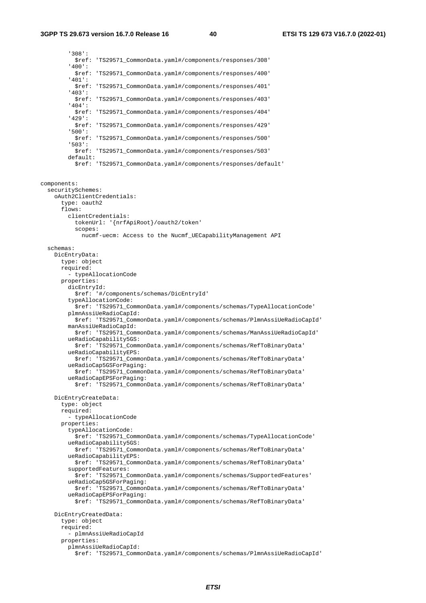'308': \$ref: 'TS29571\_CommonData.yaml#/components/responses/308' '400': \$ref: 'TS29571\_CommonData.yaml#/components/responses/400' '401': \$ref: 'TS29571\_CommonData.yaml#/components/responses/401' '403': \$ref: 'TS29571\_CommonData.yaml#/components/responses/403' '404': \$ref: 'TS29571\_CommonData.yaml#/components/responses/404' '429': \$ref: 'TS29571\_CommonData.yaml#/components/responses/429' '500': \$ref: 'TS29571\_CommonData.yaml#/components/responses/500' '503': \$ref: 'TS29571\_CommonData.yaml#/components/responses/503' default: \$ref: 'TS29571\_CommonData.yaml#/components/responses/default' components: securitySchemes: oAuth2ClientCredentials: type: oauth2 flows: clientCredentials: tokenUrl: '{nrfApiRoot}/oauth2/token' scopes: nucmf-uecm: Access to the Nucmf\_UECapabilityManagement API schemas: DicEntryData: type: object required: - typeAllocationCode properties: dicEntryId: \$ref: '#/components/schemas/DicEntryId' typeAllocationCode: \$ref: 'TS29571\_CommonData.yaml#/components/schemas/TypeAllocationCode' plmnAssiUeRadioCapId: \$ref: 'TS29571\_CommonData.yaml#/components/schemas/PlmnAssiUeRadioCapId' manAssiUeRadioCapId: \$ref: 'TS29571\_CommonData.yaml#/components/schemas/ManAssiUeRadioCapId' ueRadioCapability5GS: \$ref: 'TS29571\_CommonData.yaml#/components/schemas/RefToBinaryData' ueRadioCapabilityEPS: \$ref: 'TS29571\_CommonData.yaml#/components/schemas/RefToBinaryData' ueRadioCap5GSForPaging: \$ref: 'TS29571\_CommonData.yaml#/components/schemas/RefToBinaryData' ueRadioCapEPSForPaging: \$ref: 'TS29571\_CommonData.yaml#/components/schemas/RefToBinaryData' DicEntryCreateData: type: object required: - typeAllocationCode properties: typeAllocationCode: \$ref: 'TS29571\_CommonData.yaml#/components/schemas/TypeAllocationCode' ueRadioCapability5GS: \$ref: 'TS29571\_CommonData.yaml#/components/schemas/RefToBinaryData' ueRadioCapabilityEPS: \$ref: 'TS29571\_CommonData.yaml#/components/schemas/RefToBinaryData' supportedFeatures: \$ref: 'TS29571\_CommonData.yaml#/components/schemas/SupportedFeatures' ueRadioCap5GSForPaging: \$ref: 'TS29571\_CommonData.yaml#/components/schemas/RefToBinaryData' ueRadioCapEPSForPaging: \$ref: 'TS29571\_CommonData.yaml#/components/schemas/RefToBinaryData' DicEntryCreatedData: type: object required: - plmnAssiUeRadioCapId properties: plmnAssiUeRadioCapId: \$ref: 'TS29571\_CommonData.yaml#/components/schemas/PlmnAssiUeRadioCapId'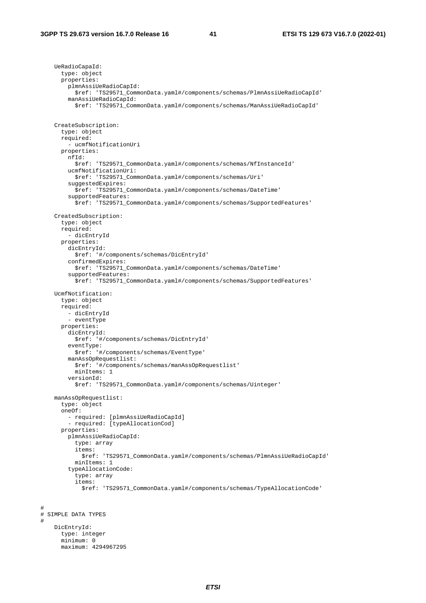#

#

 UeRadioCapaId: type: object properties: plmnAssiUeRadioCapId: \$ref: 'TS29571\_CommonData.yaml#/components/schemas/PlmnAssiUeRadioCapId' manAssiUeRadioCapId: \$ref: 'TS29571\_CommonData.yaml#/components/schemas/ManAssiUeRadioCapId' CreateSubscription: type: object required: - ucmfNotificationUri properties: nfId: \$ref: 'TS29571\_CommonData.yaml#/components/schemas/NfInstanceId' ucmfNotificationUri: \$ref: 'TS29571\_CommonData.yaml#/components/schemas/Uri' suggestedExpires: \$ref: 'TS29571\_CommonData.yaml#/components/schemas/DateTime' supportedFeatures: \$ref: 'TS29571\_CommonData.yaml#/components/schemas/SupportedFeatures' CreatedSubscription: type: object required: - dicEntryId properties: dicEntryId: \$ref: '#/components/schemas/DicEntryId' confirmedExpires: \$ref: 'TS29571\_CommonData.yaml#/components/schemas/DateTime' supportedFeatures: \$ref: 'TS29571\_CommonData.yaml#/components/schemas/SupportedFeatures' UcmfNotification: type: object required: - dicEntryId - eventType properties: dicEntryId: \$ref: '#/components/schemas/DicEntryId' eventType: \$ref: '#/components/schemas/EventType' manAssOpRequestlist: \$ref: '#/components/schemas/manAssOpRequestlist' minItems: 1 versionId: \$ref: 'TS29571\_CommonData.yaml#/components/schemas/Uinteger' manAssOpRequestlist: type: object oneOf: - required: [plmnAssiUeRadioCapId] - required: [typeAllocationCod] properties: plmnAssiUeRadioCapId: type: array items: \$ref: 'TS29571\_CommonData.yaml#/components/schemas/PlmnAssiUeRadioCapId' minItems: 1 typeAllocationCode: type: array items: \$ref: 'TS29571\_CommonData.yaml#/components/schemas/TypeAllocationCode' # SIMPLE DATA TYPES DicEntryId: type: integer minimum: 0 maximum: 4294967295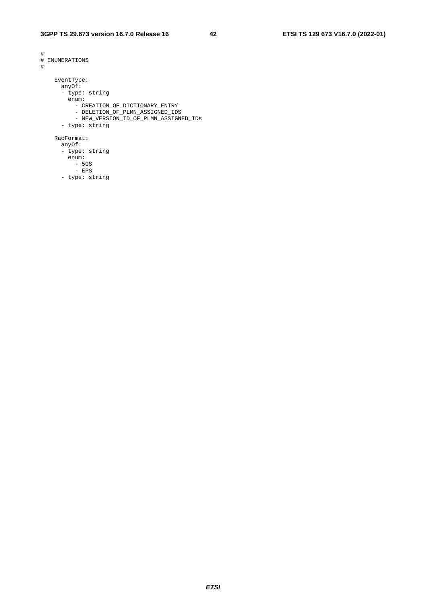```
# 
# ENUMERATIONS 
# 
    EventType: 
      anyOf: 
      - type: string 
        enum: 
         - CREATION_OF_DICTIONARY_ENTRY 
 - DELETION_OF_PLMN_ASSIGNED_IDS 
 - NEW_VERSION_ID_OF_PLMN_ASSIGNED_IDs 
      - type: string 
    RacFormat: 
      anyOf: 
      - type: string 
       enum: 
-5GS
```
- EPS
	- type: string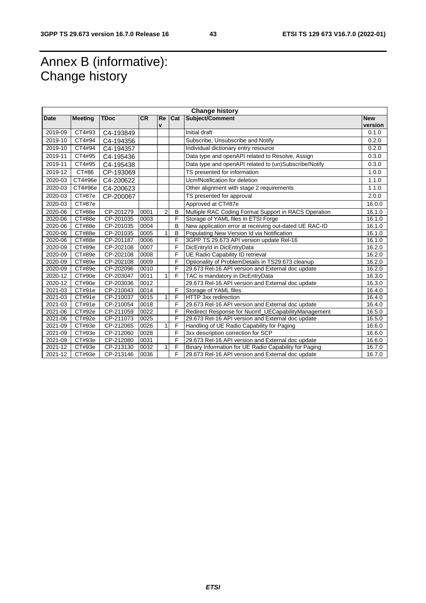## Annex B (informative): Change history

|             | <b>Change history</b> |             |           |                |     |                                                        |            |
|-------------|-----------------------|-------------|-----------|----------------|-----|--------------------------------------------------------|------------|
| <b>Date</b> | <b>Meeting</b>        | <b>TDoc</b> | <b>CR</b> | Re             | Cat | Subject/Comment                                        | <b>New</b> |
|             |                       |             |           | $\mathbf v$    |     |                                                        | version    |
| 2019-09     | CT4#93                | C4-193849   |           |                |     | Initial draft                                          | 0.1.0      |
| 2019-10     | CT4#94                | C4-194356   |           |                |     | Subscribe, Unsubscribe and Notify                      | 0.2.0      |
| 2019-10     | CT4#94                | C4-194357   |           |                |     | Individual dictionary entry resource                   | 0.2.0      |
| 2019-11     | CT4#95                | C4-195436   |           |                |     | Data type and openAPI related to Resolve, Assign       | 0.3.0      |
| 2019-11     | CT4#95                | C4-195438   |           |                |     | Data type and openAPI related to (un)Subscribe/Notify  | 0.3.0      |
| 2019-12     | CT#86                 | CP-193069   |           |                |     | TS presented for information                           | 1.0.0      |
| 2020-03     | CT4#96e               | C4-200622   |           |                |     | UcmfNotification for deletion                          | 1.1.0      |
| 2020-03     | CT4#96e               | C4-200623   |           |                |     | Other alignment with stage 2 requirements              | 1.1.0      |
| 2020-03     | CT#87e                | CP-200067   |           |                |     | TS presented for approval                              | 2.0.0      |
| 2020-03     | CT#87e                |             |           |                |     | Approved at CT#87e                                     | 16.0.0     |
| 2020-06     | CT#88e                | CP-201279   | 0001      | $\overline{2}$ | B   | Multiple RAC Coding Format Support in RACS Operation   | 16.1.0     |
| 2020-06     | CT#88e                | CP-201035   | 0003      |                | F   | Storage of YAML files in ETSI Forge                    | 16.1.0     |
| 2020-06     | CT#88e                | CP-201035   | 0004      |                | B   | New application error at receiving out-dated UE RAC-ID | 16.1.0     |
| 2020-06     | CT#88e                | CP-201035   | 0005      |                | B   | Populating New Version Id via Notification             | 16.1.0     |
| 2020-06     | CT#88e                | CP-201187   | 0006      |                | F   | 3GPP TS 29.673 API version update Rel-16               | 16.1.0     |
| 2020-09     | CT#89e                | CP-202108   | 0007      |                | F   | DicEntryId in DicEntryData                             | 16.2.0     |
| 2020-09     | CT#89e                | CP-202108   | 0008      |                | F   | UE Radio Capability ID retrieval                       | 16.2.0     |
| 2020-09     | CT#89e                | CP-202108   | 0009      |                | F   | Optionality of ProblemDetails in TS29.673 cleanup      | 16.2.0     |
| 2020-09     | CT#89e                | CP-202096   | 0010      |                | F   | 29.673 Rel-16 API version and External doc update      | 16.2.0     |
| 2020-12     | CT#90e                | CP-203047   | 0011      |                | F   | TAC is mandatory in DicEntryData                       | 16.3.0     |
| 2020-12     | CT#90e                | CP-203036   | 0012      |                |     | 29.673 Rel-16 API version and External doc update      | 16.3.0     |
| 2021-03     | CT#91e                | CP-210043   | 0014      |                | F   | Storage of YAML files                                  | 16.4.0     |
| 2021-03     | CT#91e                | CP-210037   | 0015      | 1              | F   | HTTP 3xx redirection                                   | 16.4.0     |
| 2021-03     | CT#91e                | CP-210054   | 0018      |                | F   | 29.673 Rel-16 API version and External doc update      | 16.4.0     |
| 2021-06     | CT#92e                | CP-211059   | 0022      |                | F   | Redirect Response for Nucmf_UECapabilityManagement     | 16.5.0     |
| 2021-06     | CT#92e                | CP-211073   | 0025      |                | F   | 29.673 Rel-16 API version and External doc update      | 16.5.0     |
| 2021-09     | CT#93e                | CP-212065   | 0026      | 1              | F   | Handling of UE Radio Capability for Paging             | 16.6.0     |
| 2021-09     | CT#93e                | CP-212060   | 0028      |                | F   | 3xx description correction for SCP                     | 16.6.0     |
| 2021-09     | CT#93e                | CP-212080   | 0031      |                | F   | 29.673 Rel-16 API version and External doc update      | 16.6.0     |
| 2021-12     | CT#93e                | CP-213130   | 0032      |                | F   | Binary Information for UE Radio Capability for Paging  | 16.7.0     |
| 2021-12     | CT#93e                | CP-213146   | 0036      |                | F   | 29.673 Rel-16 API version and External doc update      | 16.7.0     |